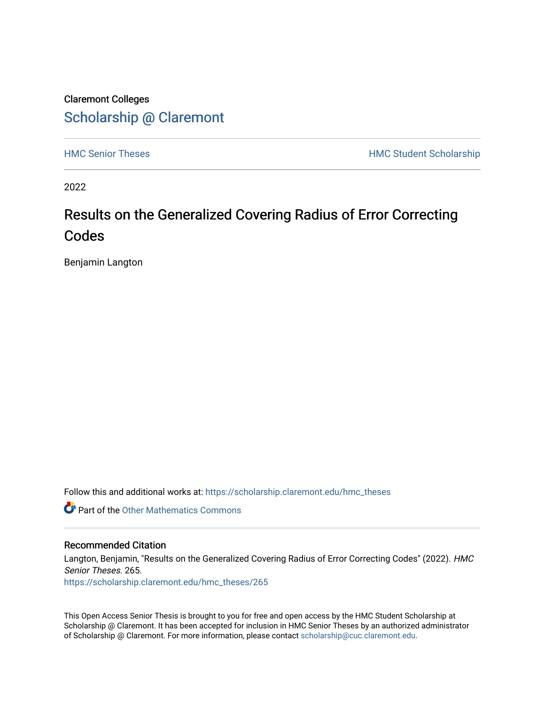## Claremont Colleges [Scholarship @ Claremont](https://scholarship.claremont.edu/)

[HMC Senior Theses](https://scholarship.claremont.edu/hmc_theses) **HMC Student Scholarship** 

2022

## Results on the Generalized Covering Radius of Error Correcting Codes

Benjamin Langton

Follow this and additional works at: [https://scholarship.claremont.edu/hmc\\_theses](https://scholarship.claremont.edu/hmc_theses?utm_source=scholarship.claremont.edu%2Fhmc_theses%2F265&utm_medium=PDF&utm_campaign=PDFCoverPages)

**C** Part of the [Other Mathematics Commons](https://network.bepress.com/hgg/discipline/185?utm_source=scholarship.claremont.edu%2Fhmc_theses%2F265&utm_medium=PDF&utm_campaign=PDFCoverPages)

#### Recommended Citation

Langton, Benjamin, "Results on the Generalized Covering Radius of Error Correcting Codes" (2022). HMC Senior Theses. 265.

[https://scholarship.claremont.edu/hmc\\_theses/265](https://scholarship.claremont.edu/hmc_theses/265?utm_source=scholarship.claremont.edu%2Fhmc_theses%2F265&utm_medium=PDF&utm_campaign=PDFCoverPages)

This Open Access Senior Thesis is brought to you for free and open access by the HMC Student Scholarship at Scholarship @ Claremont. It has been accepted for inclusion in HMC Senior Theses by an authorized administrator of Scholarship @ Claremont. For more information, please contact [scholarship@cuc.claremont.edu.](mailto:scholarship@cuc.claremont.edu)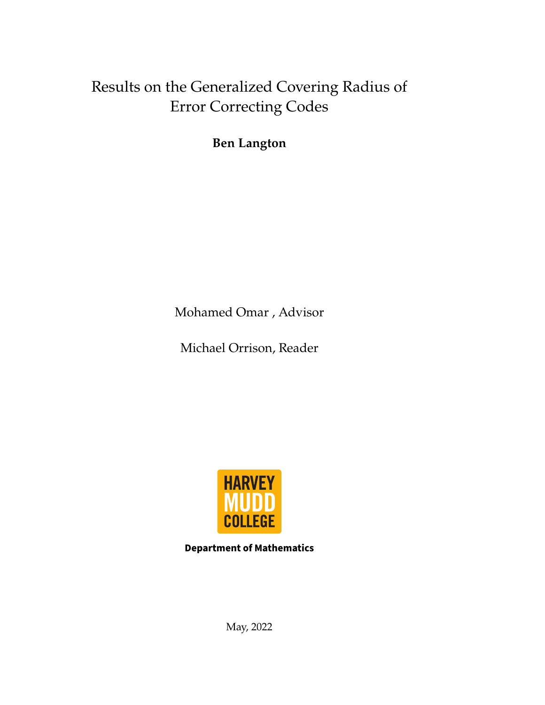# Results on the Generalized Covering Radius of Error Correcting Codes

**Ben Langton**

Mohamed Omar , Advisor

Michael Orrison, Reader



**Department of Mathematics**

May, 2022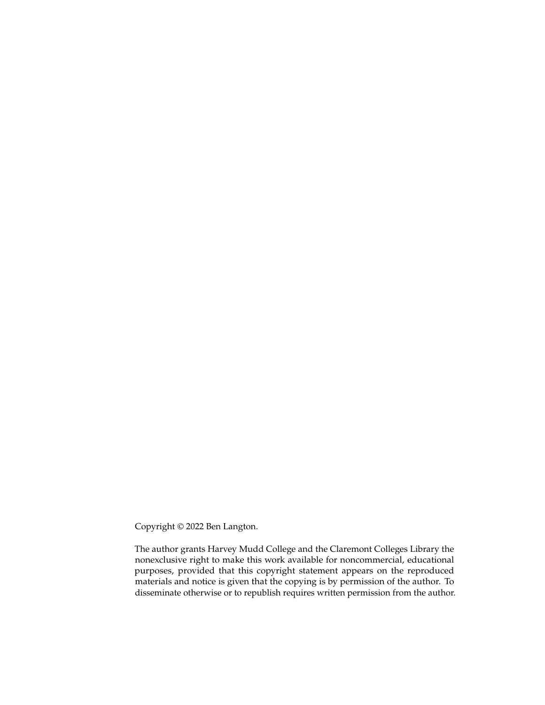Copyright © 2022 Ben Langton.

The author grants Harvey Mudd College and the Claremont Colleges Library the nonexclusive right to make this work available for noncommercial, educational purposes, provided that this copyright statement appears on the reproduced materials and notice is given that the copying is by permission of the author. To disseminate otherwise or to republish requires written permission from the author.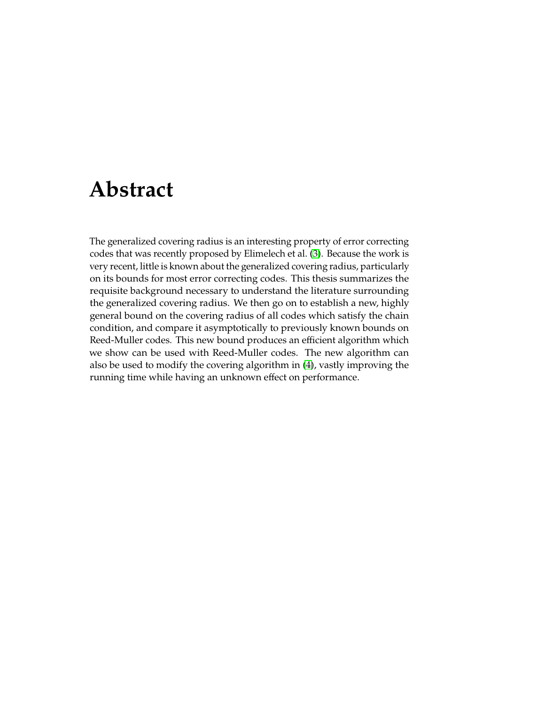# <span id="page-3-0"></span>**Abstract**

The generalized covering radius is an interesting property of error correcting codes that was recently proposed by Elimelech et al. [\(3\)](#page-53-0). Because the work is very recent, little is known about the generalized covering radius, particularly on its bounds for most error correcting codes. This thesis summarizes the requisite background necessary to understand the literature surrounding the generalized covering radius. We then go on to establish a new, highly general bound on the covering radius of all codes which satisfy the chain condition, and compare it asymptotically to previously known bounds on Reed-Muller codes. This new bound produces an efficient algorithm which we show can be used with Reed-Muller codes. The new algorithm can also be used to modify the covering algorithm in [\(4\)](#page-53-1), vastly improving the running time while having an unknown effect on performance.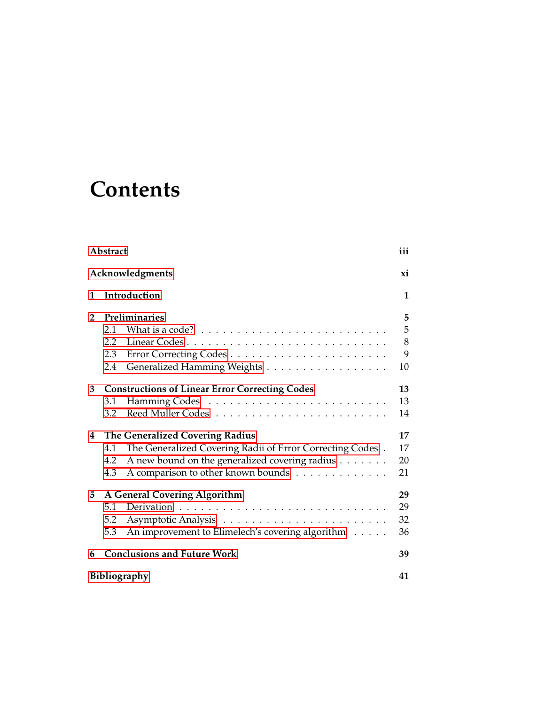# **Contents**

| Abstract        |                                                                                  |    |  |  |
|-----------------|----------------------------------------------------------------------------------|----|--|--|
| Acknowledgments |                                                                                  |    |  |  |
| 1               | Introduction                                                                     |    |  |  |
| $\overline{2}$  | Preliminaries                                                                    | 5  |  |  |
|                 | What is a code? $\ldots \ldots \ldots \ldots \ldots \ldots \ldots \ldots$<br>2.1 | 5  |  |  |
|                 | 2.2                                                                              | 8  |  |  |
|                 | 2.3                                                                              | 9  |  |  |
|                 | Generalized Hamming Weights<br>2.4                                               | 10 |  |  |
| 3               | <b>Constructions of Linear Error Correcting Codes</b>                            | 13 |  |  |
|                 | 3.1                                                                              | 13 |  |  |
|                 | 3.2                                                                              | 14 |  |  |
| 4               | The Generalized Covering Radius                                                  | 17 |  |  |
|                 | The Generalized Covering Radii of Error Correcting Codes.<br>4.1                 | 17 |  |  |
|                 | A new bound on the generalized covering radius<br>4.2                            | 20 |  |  |
|                 | A comparison to other known bounds<br>4.3                                        | 21 |  |  |
| 5               | A General Covering Algorithm                                                     | 29 |  |  |
|                 | 5.1                                                                              | 29 |  |  |
|                 | 5.2                                                                              | 32 |  |  |
|                 | An improvement to Elimelech's covering algorithm<br>5.3                          | 36 |  |  |
| 6               | <b>Conclusions and Future Work</b>                                               |    |  |  |
|                 | <b>Bibliography</b>                                                              |    |  |  |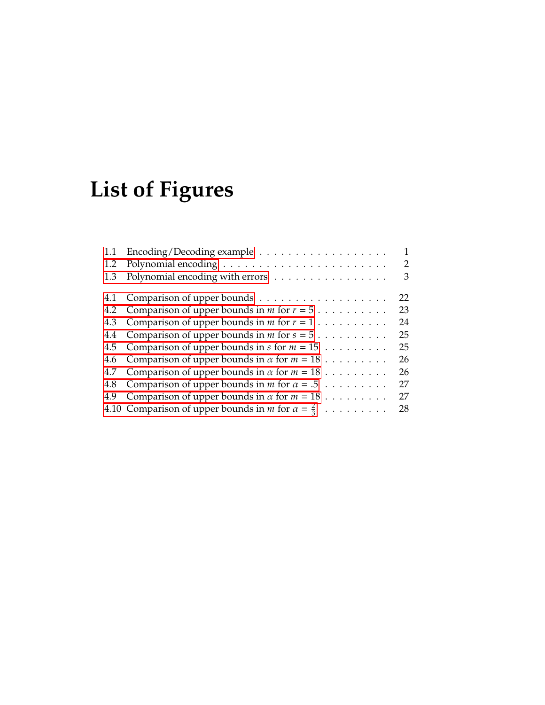# **List of Figures**

| 1.1 |                                                                        | $\mathbf{1}$ |
|-----|------------------------------------------------------------------------|--------------|
| 1.2 |                                                                        | 2            |
| 1.3 | Polynomial encoding with errors                                        | 3            |
|     |                                                                        | 22           |
| 4.2 | Comparison of upper bounds in <i>m</i> for $r = 5$                     | 23           |
| 4.3 | Comparison of upper bounds in <i>m</i> for $r = 1$                     | 24           |
| 4.4 | Comparison of upper bounds in <i>m</i> for $s = 5$                     | 25           |
| 4.5 | Comparison of upper bounds in s for $m = 15$                           | 25           |
| 4.6 | Comparison of upper bounds in $\alpha$ for $m = 18$                    | 26           |
| 4.7 | Comparison of upper bounds in $\alpha$ for $m = 18$                    | 26           |
| 4.8 | Comparison of upper bounds in <i>m</i> for $\alpha = .5$               | 27           |
| 4.9 | Comparison of upper bounds in $\alpha$ for $m = 18$                    | 27           |
|     | 4.10 Comparison of upper bounds in <i>m</i> for $\alpha = \frac{2}{3}$ | 28           |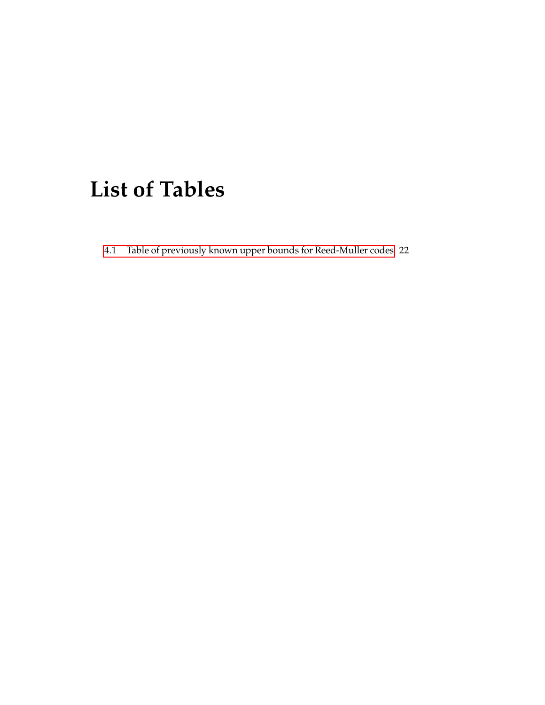# **List of Tables**

4.1 [Table of previously known upper bounds for Reed-Muller codes](#page-34-1) 22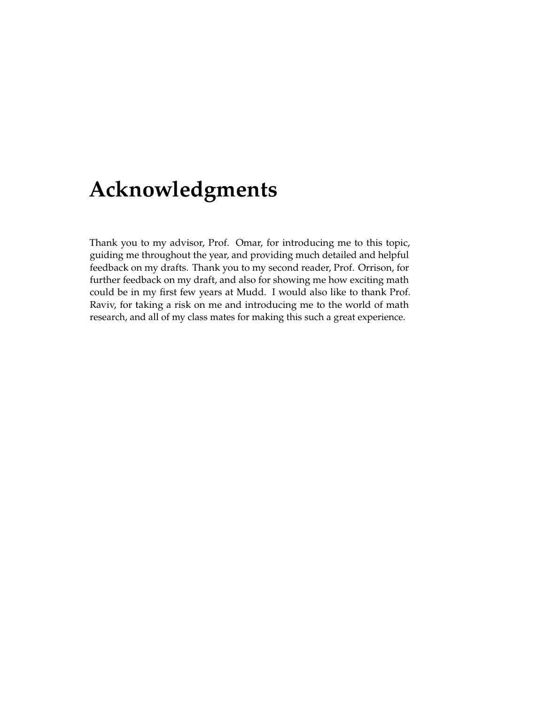# <span id="page-11-0"></span>**Acknowledgments**

Thank you to my advisor, Prof. Omar, for introducing me to this topic, guiding me throughout the year, and providing much detailed and helpful feedback on my drafts. Thank you to my second reader, Prof. Orrison, for further feedback on my draft, and also for showing me how exciting math could be in my first few years at Mudd. I would also like to thank Prof. Raviv, for taking a risk on me and introducing me to the world of math research, and all of my class mates for making this such a great experience.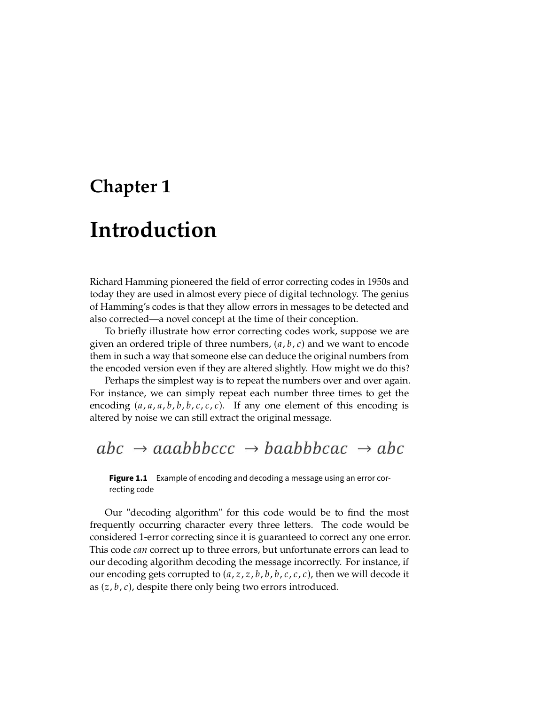## <span id="page-13-0"></span>**Chapter 1**

# **Introduction**

Richard Hamming pioneered the field of error correcting codes in 1950s and today they are used in almost every piece of digital technology. The genius of Hamming's codes is that they allow errors in messages to be detected and also corrected—a novel concept at the time of their conception.

To briefly illustrate how error correcting codes work, suppose we are given an ordered triple of three numbers,  $(a, b, c)$  and we want to encode them in such a way that someone else can deduce the original numbers from the encoded version even if they are altered slightly. How might we do this?

Perhaps the simplest way is to repeat the numbers over and over again. For instance, we can simply repeat each number three times to get the encoding  $(a, a, a, b, b, b, c, c, c)$ . If any one element of this encoding is altered by noise we can still extract the original message.

## <span id="page-13-1"></span> $abc \rightarrow aaabbbccc \rightarrow baabbbcac \rightarrow abc$

**Figure 1.1** Example of encoding and decoding a message using an error correcting code

Our "decoding algorithm" for this code would be to find the most frequently occurring character every three letters. The code would be considered 1-error correcting since it is guaranteed to correct any one error. This code *can* correct up to three errors, but unfortunate errors can lead to our decoding algorithm decoding the message incorrectly. For instance, if our encoding gets corrupted to  $(a, z, z, b, b, b, c, c, c)$ , then we will decode it as  $(z, b, c)$ , despite there only being two errors introduced.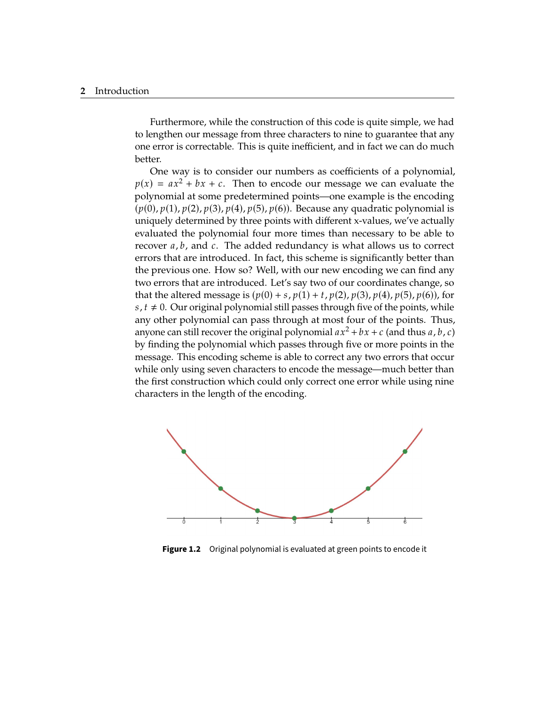#### **2** Introduction

Furthermore, while the construction of this code is quite simple, we had to lengthen our message from three characters to nine to guarantee that any one error is correctable. This is quite inefficient, and in fact we can do much better.

One way is to consider our numbers as coefficients of a polynomial,  $p(x) = ax^2 + bx + c$ . Then to encode our message we can evaluate the polynomial at some predetermined points—one example is the encoding  $(p(0), p(1), p(2), p(3), p(4), p(5), p(6))$ . Because any quadratic polynomial is uniquely determined by three points with different x-values, we've actually evaluated the polynomial four more times than necessary to be able to recover  $a, b$ , and  $c$ . The added redundancy is what allows us to correct errors that are introduced. In fact, this scheme is significantly better than the previous one. How so? Well, with our new encoding we can find any two errors that are introduced. Let's say two of our coordinates change, so that the altered message is  $(p(0) + s, p(1) + t, p(2), p(3), p(4), p(5), p(6))$ , for  $s, t \neq 0$ . Our original polynomial still passes through five of the points, while any other polynomial can pass through at most four of the points. Thus, anyone can still recover the original polynomial  $ax^2 + bx + c$  (and thus a, b, c) by finding the polynomial which passes through five or more points in the message. This encoding scheme is able to correct any two errors that occur while only using seven characters to encode the message—much better than the first construction which could only correct one error while using nine characters in the length of the encoding.

<span id="page-14-0"></span>

**Figure 1.2** Original polynomial is evaluated at green points to encode it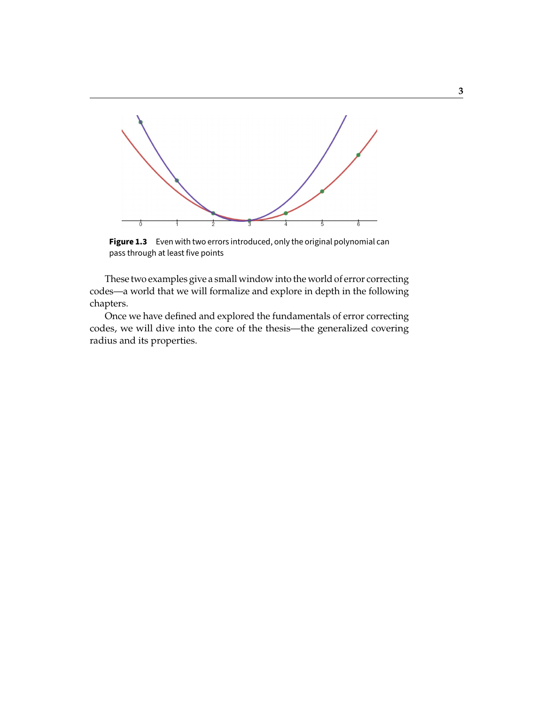<span id="page-15-0"></span>

**Figure 1.3** Even with two errors introduced, only the original polynomial can pass through at least five points

These two examples give a small window into the world of error correcting codes—a world that we will formalize and explore in depth in the following chapters.

Once we have defined and explored the fundamentals of error correcting codes, we will dive into the core of the thesis—the generalized covering radius and its properties.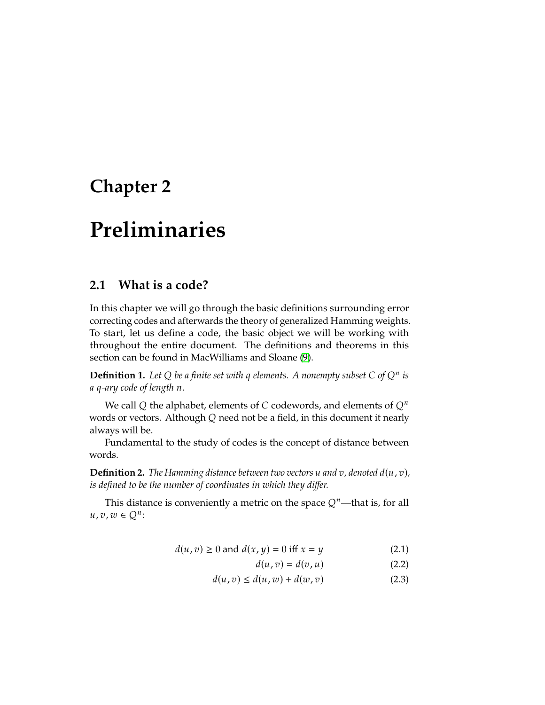## <span id="page-17-0"></span>**Chapter 2**

# **Preliminaries**

## <span id="page-17-1"></span>**2.1 What is a code?**

In this chapter we will go through the basic definitions surrounding error correcting codes and afterwards the theory of generalized Hamming weights. To start, let us define a code, the basic object we will be working with throughout the entire document. The definitions and theorems in this section can be found in MacWilliams and Sloane [\(9\)](#page-54-0).

**Definition 1.** Let Q be a finite set with q elements. A nonempty subset C of Q<sup>n</sup> is<br>a a-ary code of length n *a q*-ary code of length *n*.

We call Q the alphabet, elements of C codewords, and elements of  $Q^n$ words or vectors. Although  $Q$  need not be a field, in this document it nearly always will be.

Fundamental to the study of codes is the concept of distance between words.

**Definition 2.** *The Hamming distance between two vectors*  $u$  *and*  $v$ *, denoted*  $d(u, v)$ *, is defined to be the number of coordinates in which they differ.*

This distance is conveniently a metric on the space  $Q<sup>n</sup>$ —that is, for all  $u, v, w \in Q^n$ :

$$
d(u, v) \ge 0
$$
 and  $d(x, y) = 0$  iff  $x = y$  (2.1)

$$
d(u, v) = d(v, u)
$$
\n
$$
(2.2)
$$

$$
d(u,v) \le d(u,w) + d(w,v) \tag{2.3}
$$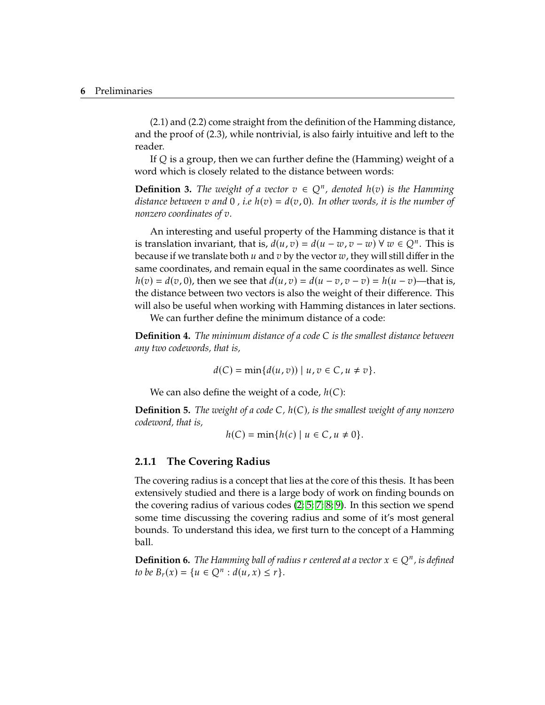(2.1) and (2.2) come straight from the definition of the Hamming distance, and the proof of (2.3), while nontrivial, is also fairly intuitive and left to the reader.

If  $Q$  is a group, then we can further define the (Hamming) weight of a word which is closely related to the distance between words:

**Definition 3.** *The weight of a vector*  $v \in Q^n$ , denoted  $h(v)$  is the Hamming distance hetapen x and 0, i.e.  $h(x) = d(x, 0)$ . In other words, it is the number of *distance between* v and 0, *i.e*  $h(v) = d(v, 0)$ *. In other words, it is the number of nonzero coordinates of v.* 

An interesting and useful property of the Hamming distance is that it is translation invariant, that is,  $d(u, v) = d(u - w, v - w) \forall w \in Q^n$ . This is<br>because if we translate both u and z by the vector zu they will still differ in the because if we translate both  $u$  and  $v$  by the vector  $w$ , they will still differ in the same coordinates, and remain equal in the same coordinates as well. Since  $h(v) = d(v, 0)$ , then we see that  $d(u, v) = d(u - v, v - v) = h(u - v)$ —that is, the distance between two vectors is also the weight of their difference. This will also be useful when working with Hamming distances in later sections.

We can further define the minimum distance of a code:

**Definition 4.** *The minimum distance of a code* C *is the smallest distance between any two codewords, that is,*

$$
d(C) = \min\{d(u,v)\} \mid u, v \in C, u \neq v\}.
$$

We can also define the weight of a code,  $h(C)$ :

**Definition 5.** *The weight of a code C, h(C), is the smallest weight of any nonzero codeword, that is,*

$$
h(C) = \min\{h(c) \mid u \in C, u \neq 0\}.
$$

#### **2.1.1 The Covering Radius**

The covering radius is a concept that lies at the core of this thesis. It has been extensively studied and there is a large body of work on finding bounds on the covering radius of various codes [\(2;](#page-53-3) [5;](#page-53-4) [7;](#page-53-5) [8;](#page-53-6) [9\)](#page-54-0). In this section we spend some time discussing the covering radius and some of it's most general bounds. To understand this idea, we first turn to the concept of a Hamming ball.

**Definition 6.** *The Hamming ball of radius r centered at a vector*  $x \in Q^n$ *, is defined* to be  $B(x) = \int u \in Q^n \cdot d(u, x) \leq x$ *to be*  $B_r(x) = \{u \in Q^n : d(u, x) \le r\}.$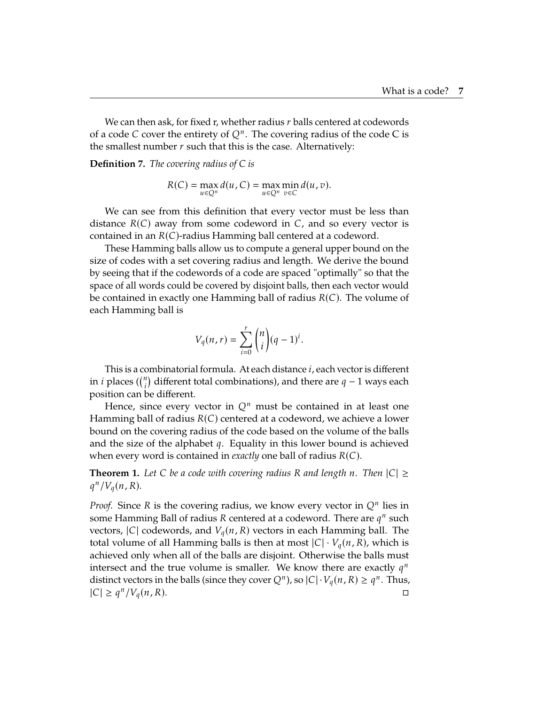We can then ask, for fixed  $r$ , whether radius  $r$  balls centered at codewords of a code C cover the entirety of  $Q^n$ . The covering radius of the code C is<br>the smallest number r such that this is the case. Alternatively: the smallest number  $r$  such that this is the case. Alternatively:

**Definition 7.** *The covering radius of C is*

$$
R(C) = \max_{u \in Q^n} d(u, C) = \max_{u \in Q^n} \min_{v \in C} d(u, v).
$$

We can see from this definition that every vector must be less than distance  $R(C)$  away from some codeword in  $C$ , and so every vector is contained in an  $R(C)$ -radius Hamming ball centered at a codeword.

These Hamming balls allow us to compute a general upper bound on the size of codes with a set covering radius and length. We derive the bound by seeing that if the codewords of a code are spaced "optimally" so that the space of all words could be covered by disjoint balls, then each vector would be contained in exactly one Hamming ball of radius  $R(C)$ . The volume of each Hamming ball is

$$
V_q(n,r) = \sum_{i=0}^r \binom{n}{i} (q-1)^i.
$$

This is a combinatorial formula. At each distance  $i$ , each vector is different in *i* places ( $\binom{n}{i}$  different total combinations), and there are  $q - 1$  ways each position can be different position can be different.

Hence, since every vector in  $Q<sup>n</sup>$  must be contained in at least one Hamming ball of radius  $R(C)$  centered at a codeword, we achieve a lower bound on the covering radius of the code based on the volume of the balls and the size of the alphabet  $q$ . Equality in this lower bound is achieved when every word is contained in *exactly* one ball of radius  $R(C)$ .

**Theorem 1.** Let C be a code with covering radius R and length n. Then  $|C| \geq$  $q^n/V_q(n, R)$ .

*Proof.* Since *R* is the covering radius, we know every vector in *Q<sup>n</sup>* lies in some Hamming Ball of radius *R* contered at a sedeword. There are  $a^n$  such some Hamming Ball of radius R centered at a codeword. There are  $q^n$  such<br>yesters,  $|C|$  codewords, and  $V_q(n, R)$  yesters in each Hamming ball. The vectors,  $|C|$  codewords, and  $V_q(n, R)$  vectors in each Hamming ball. The total volume of all Hamming balls is then at most  $|C| \cdot V_q(n, R)$ , which is achieved only when all of the balls are disjoint. Otherwise the balls must intersect and the true volume is smaller. We know there are exactly  $q^n$ <br>distinct vectors in the halls (since they cover  $Q^n$ ) so  $|C|$ ,  $V(n, R) > a^n$ . Thus distinct vectors in the balls (since they cover  $Q^n$ ), so  $|C| \cdot V_q(n, R) \ge q^n$ . Thus,  $|C| \geq q^n/V_q(n, R).$  $\Box$   $\Box$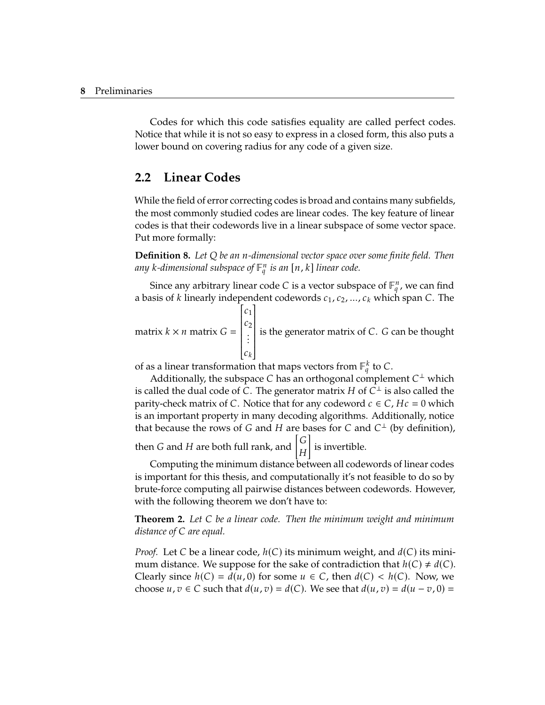Codes for which this code satisfies equality are called perfect codes. Notice that while it is not so easy to express in a closed form, this also puts a lower bound on covering radius for any code of a given size.

## <span id="page-20-0"></span>**2.2 Linear Codes**

While the field of error correcting codes is broad and contains many subfields, the most commonly studied codes are linear codes. The key feature of linear codes is that their codewords live in a linear subspace of some vector space. Put more formally:

**Definition 8.** Let Q be an *n*-dimensional vector space over some finite field. Then any k-dimensional subspace of  $\mathbb{F}_q^n$  is an  $[n,k]$  linear code.

Since any arbitrary linear code C is a vector subspace of  $\mathbb{F}_q^n$ , we can find<br>usis of k linearly independent codewords  $c_k$ ,  $c_k$ ,  $c_k$ , which span C. The a basis of *k* linearly independent codewords  $c_1, c_2, ..., c_k$  which span C. The

matrix  $k \times n$  matrix  $G =$ |<br>|<br>|<br>|<br>|  $\lfloor \frac{\mathsf{L} \mathsf{L} \mathsf{K}}{\mathsf{L}} \rfloor$  $\frac{c_1}{c_2}$  $\frac{c_2}{c_2}$ . . . is the generator matrix of  $C$ .  $G$  can be thought

of as a linear transformation that maps vectors from  $\mathbb{F}_q^k$  to C.<br>Additionally, the subspace C bas an orthogonal complex

 $\overline{a}$ 

Additionally, the subspace C has an orthogonal complement  $C^{\perp}$  which<br>alled the dual code of C. The generator matrix H of  $C^{\perp}$  is also called the is called the dual code of C. The generator matrix H of  $C^{\perp}$  is also called the partity-chock matrix of C. Notice that for any codeword  $c \in C$ . He = 0 which parity-check matrix of C. Notice that for any codeword  $c \in \mathcal{C}$ ,  $Hc = 0$  which is an important property in many decoding algorithms. Additionally, notice that because the rows of G and H are bases for C and  $C^{\perp}$  (by definition),

then G and H are both full rank, and  $\begin{bmatrix} G \\ H \end{bmatrix}$ 1 is invertible.

𝐻 Computing the minimum distance between all codewords of linear codes is important for this thesis, and computationally it's not feasible to do so by brute-force computing all pairwise distances between codewords. However, with the following theorem we don't have to:

**Theorem 2.** Let C be a linear code. Then the minimum weight and minimum *distance of* C are equal.

*Proof.* Let C be a linear code,  $h(C)$  its minimum weight, and  $d(C)$  its minimum distance. We suppose for the sake of contradiction that  $h(C) \neq d(C)$ . Clearly since  $h(C) = d(u, 0)$  for some  $u \in C$ , then  $d(C) < h(C)$ . Now, we choose  $u, v \in C$  such that  $d(u, v) = d(C)$ . We see that  $d(u, v) = d(u - v, 0) =$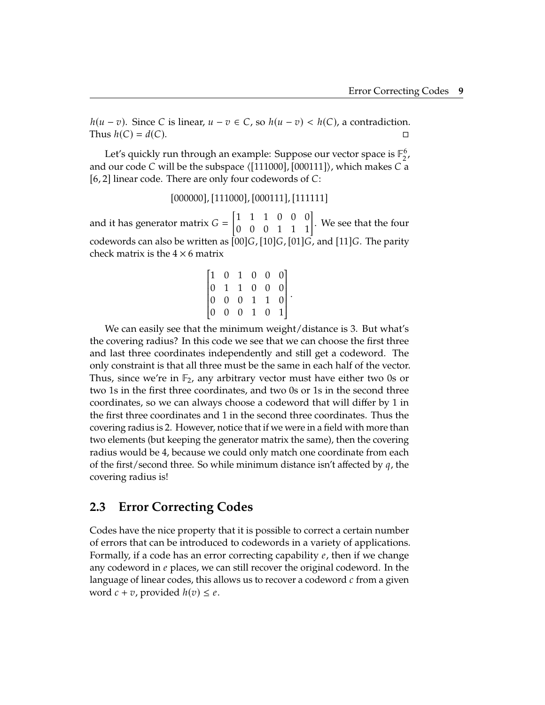$h(u - v)$ . Since *C* is linear,  $u - v \in C$ , so  $h(u - v) < h(C)$ , a contradiction.<br>Thus  $h(C) = d(C)$ . Thus  $h(C) = d(C)$ .

Let's quickly run through an example: Suppose our vector space is  $\mathbb{F}_2^6$  $\frac{6}{2}$ and our code  $C$  will be the subspace  $\langle$ [111000], [000111] $\rangle$ , which makes  $C$  a [6, 2] linear code. There are only four codewords of  $C$ :

[000000], [111000], [000111], [111111]

and it has generator matrix  $G =$  $\begin{bmatrix} 1 & 1 & 1 & 0 & 0 & 0 \\ 0 & 0 & 0 & 1 & 1 & 1 \end{bmatrix}$ . We see that the four codewords can also be written as  $[00]G$ ,  $[10]G$ ,  $[01]G$ , and  $[11]G$ . The parity check matrix is the  $4 \times 6$  matrix

$$
\begin{bmatrix} 1 & 0 & 1 & 0 & 0 & 0 \\ 0 & 1 & 1 & 0 & 0 & 0 \\ 0 & 0 & 0 & 1 & 1 & 0 \\ 0 & 0 & 0 & 1 & 0 & 1 \end{bmatrix}.
$$

 We can easily see that the minimum weight/distance is 3. But what's the covering radius? In this code we see that we can choose the first three and last three coordinates independently and still get a codeword. The only constraint is that all three must be the same in each half of the vector. Thus, since we're in  $\mathbb{F}_2$ , any arbitrary vector must have either two 0s or two 1s in the first three coordinates, and two 0s or 1s in the second three coordinates, so we can always choose a codeword that will differ by 1 in the first three coordinates and 1 in the second three coordinates. Thus the covering radius is 2. However, notice that if we were in a field with more than two elements (but keeping the generator matrix the same), then the covering radius would be 4, because we could only match one coordinate from each of the first/second three. So while minimum distance isn't affected by  $q$ , the covering radius is!

### <span id="page-21-0"></span>**2.3 Error Correcting Codes**

Codes have the nice property that it is possible to correct a certain number of errors that can be introduced to codewords in a variety of applications. Formally, if a code has an error correcting capability  $e$ , then if we change any codeword in  $e$  places, we can still recover the original codeword. In the language of linear codes, this allows us to recover a codeword  $c$  from a given word  $c + v$ , provided  $h(v) \leq e$ .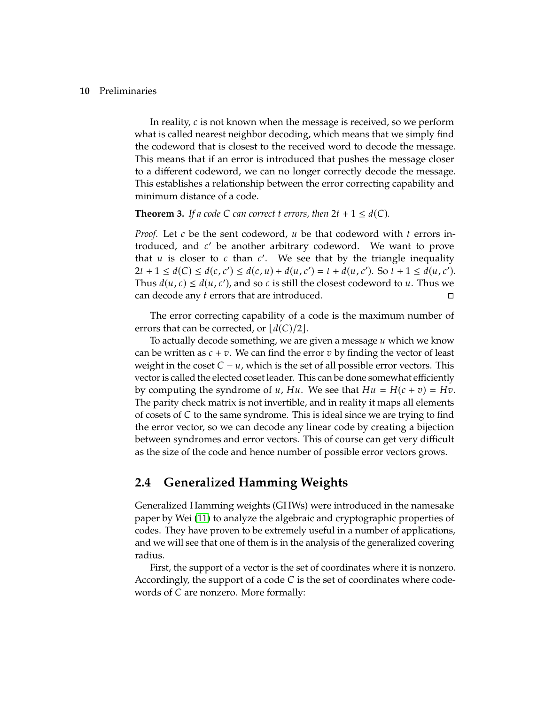In reality,  $c$  is not known when the message is received, so we perform what is called nearest neighbor decoding, which means that we simply find the codeword that is closest to the received word to decode the message. This means that if an error is introduced that pushes the message closer to a different codeword, we can no longer correctly decode the message. This establishes a relationship between the error correcting capability and minimum distance of a code.

<span id="page-22-1"></span>**Theorem 3.** *If a code* C *can correct t errors, then*  $2t + 1 \leq d(C)$ *.* 

*Proof.* Let  $c$  be the sent codeword,  $u$  be that codeword with  $t$  errors introduced, and  $c'$  be another arbitrary codeword. We want to prove<br>that u is closer to c than  $c'$ . We see that by the triangle inequality that *u* is closer to *c* than *c'*. We see that by the triangle inequality<br> $2t + 1 \le d(C) \le d(c, t') \le d(c, u) + d(u, c') = t + d(u, c')$ . So  $t + 1 \le d(u, c')$  $2t + 1 \leq d(C) \leq d(c, c') \leq d(c, u) + d(u, c') = t + d(u, c')$ . So  $t + 1 \leq d(u, c')$ .<br>Thus  $d(u, c) \leq d(u, c')$  and so c is still the closest codeword to u. Thus we Thus  $d(u, c) \leq d(u, c')$ , and so c is still the closest codeword to u. Thus we can decode any t errors that are introduced can decode any *t* errors that are introduced.  $\Box$ 

The error correcting capability of a code is the maximum number of errors that can be corrected, or  $\lceil d(C)/2 \rceil$ .

To actually decode something, we are given a message u which we know can be written as  $c + v$ . We can find the error v by finding the vector of least weight in the coset  $C - u$ , which is the set of all possible error vectors. This vector is called the elected coset leader. This can be done somewhat efficiently by computing the syndrome of  $u$ ,  $Hu$ . We see that  $Hu = H(c + v) = Hv$ . The parity check matrix is not invertible, and in reality it maps all elements of cosets of  $C$  to the same syndrome. This is ideal since we are trying to find the error vector, so we can decode any linear code by creating a bijection between syndromes and error vectors. This of course can get very difficult as the size of the code and hence number of possible error vectors grows.

### <span id="page-22-0"></span>**2.4 Generalized Hamming Weights**

Generalized Hamming weights (GHWs) were introduced in the namesake paper by Wei [\(11\)](#page-54-1) to analyze the algebraic and cryptographic properties of codes. They have proven to be extremely useful in a number of applications, and we will see that one of them is in the analysis of the generalized covering radius.

First, the support of a vector is the set of coordinates where it is nonzero. Accordingly, the support of a code  $C$  is the set of coordinates where codewords of  $C$  are nonzero. More formally: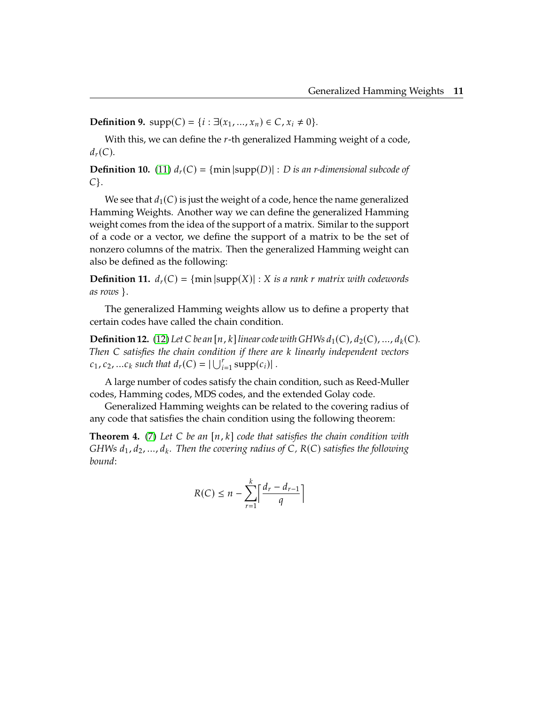**Definition 9.**  $supp(C) = \{i : \exists (x_1, ..., x_n) \in C, x_i \neq 0\}.$ 

With this, we can define the  $r$ -th generalized Hamming weight of a code,  $d_r(C)$ .

**Definition 10.** [\(11\)](#page-54-1)  $d_r(C) = \{min | supp(D)| : D \text{ is an } r\text{-dimensional subcode of }\}$ *C*}.

We see that  $d_1(C)$  is just the weight of a code, hence the name generalized Hamming Weights. Another way we can define the generalized Hamming weight comes from the idea of the support of a matrix. Similar to the support of a code or a vector, we define the support of a matrix to be the set of nonzero columns of the matrix. Then the generalized Hamming weight can also be defined as the following:

**Definition 11.**  $d_r(C) = \{min | supp(X)| : X \text{ is a rank } r \text{ matrix with codewords} \}$ *as rows* }.

The generalized Hamming weights allow us to define a property that certain codes have called the chain condition.

**Definition 12.** [\(12\)](#page-54-2) Let C be an [n, k] linear code with GHWs  $d_1(C)$ ,  $d_2(C)$ , ...,  $d_k(C)$ . *Then C* satisfies the chain condition if there are *k* linearly independent vectors  $c_1, c_2, ... c_k$  such that  $d_r(C) = |\bigcup_{i=1}^r \text{supp}(c_i)|$ .

A large number of codes satisfy the chain condition, such as Reed-Muller codes, Hamming codes, MDS codes, and the extended Golay code.

Generalized Hamming weights can be related to the covering radius of any code that satisfies the chain condition using the following theorem:

<span id="page-23-0"></span>**Theorem 4.** [\(7\)](#page-53-5) Let C be an [n, k] code that satisfies the chain condition with *GHWs*  $d_1, d_2, ..., d_k$ . Then the covering radius of C, R(C) satisfies the following *bound:*

$$
R(C) \le n - \sum_{r=1}^{k} \left\lceil \frac{d_r - d_{r-1}}{q} \right\rceil
$$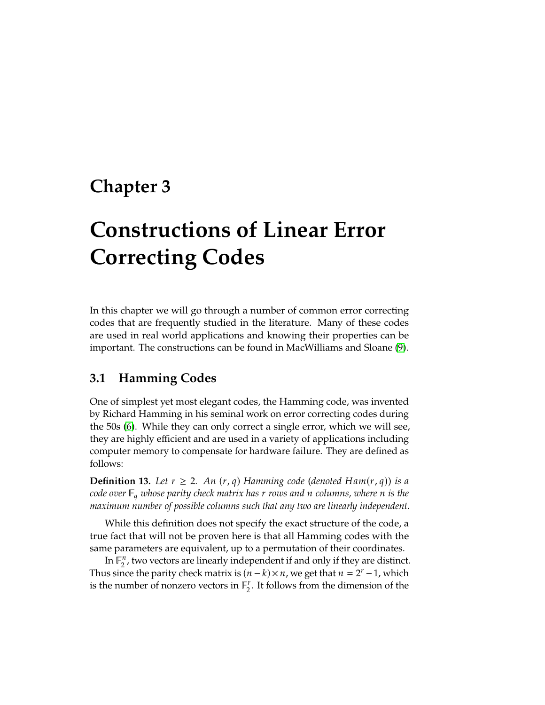# <span id="page-25-0"></span>**Chapter 3**

# **Constructions of Linear Error Correcting Codes**

In this chapter we will go through a number of common error correcting codes that are frequently studied in the literature. Many of these codes are used in real world applications and knowing their properties can be important. The constructions can be found in MacWilliams and Sloane [\(9\)](#page-54-0).

## <span id="page-25-1"></span>**3.1 Hamming Codes**

One of simplest yet most elegant codes, the Hamming code, was invented by Richard Hamming in his seminal work on error correcting codes during the 50s [\(6\)](#page-53-7). While they can only correct a single error, which we will see, they are highly efficient and are used in a variety of applications including computer memory to compensate for hardware failure. They are defined as follows:

**Definition 13.** Let  $r \geq 2$ . An  $(r, q)$  Hamming code (denoted  $Ham(r, q)$ ) is a *code over*  $\mathbb{F}_q$  *whose parity check matrix has r rows and n columns, where n is the maximum number of possible columns such that any two are linearly independent.*

While this definition does not specify the exact structure of the code, a true fact that will not be proven here is that all Hamming codes with the same parameters are equivalent, up to a permutation of their coordinates.

In  $\mathbb{F}_2^n$ , two vectors are linearly independent if and only if they are distinct. Thus since the parity check matrix is  $(n - k) \times n$ , we get that  $n = 2^r - 1$ , which is the number of persons vectors in  $\mathbb{F}^r$ . It follows from the dimension of the is the number of nonzero vectors in  $\mathbb{F}_2^r$ . It follows from the dimension of the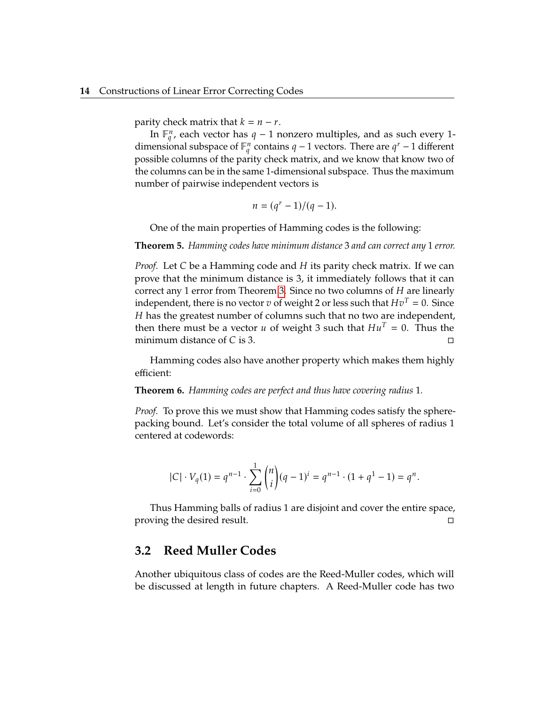parity check matrix that  $k = n - r$ .

In  $\mathbb{F}_q^n$ , each vector has  $q-1$  nonzero multiples, and as such every 1-<br>popularity subspace of  $\mathbb{F}^n$  contains  $q-1$  vectors. There are  $q^r-1$  different dimensional subspace of  $\mathbb{F}_q^n$  contains  $q-1$  vectors. There are  $q^r-1$  different possible columns of the parity check matrix, and we know that know two of the columns can be in the same 1-dimensional subspace. Thus the maximum number of pairwise independent vectors is

$$
n=(q^r-1)/(q-1).
$$

One of the main properties of Hamming codes is the following:

**Theorem 5.** *Hamming codes have minimum distance 3 and can correct any 1 error.*

*Proof.* Let C be a Hamming code and H its parity check matrix. If we can prove that the minimum distance is 3, it immediately follows that it can correct any 1 error from Theorem [3.](#page-22-1) Since no two columns of  $H$  are linearly independent, there is no vector  $v$  of weight 2 or less such that  $Hv^T = 0$ . Since H has the greatest number of columns such that no two are independent, then there must be a vector *u* of weight 3 such that  $Hu^T = 0$ . Thus the minimum distance of *C* is 3. minimum distance of  $C$  is 3.

Hamming codes also have another property which makes them highly efficient:

**Theorem 6.** *Hamming codes are perfect and thus have covering radius 1.*

*Proof.* To prove this we must show that Hamming codes satisfy the spherepacking bound. Let's consider the total volume of all spheres of radius 1 centered at codewords:

$$
|C| \cdot V_q(1) = q^{n-1} \cdot \sum_{i=0}^1 \binom{n}{i} (q-1)^i = q^{n-1} \cdot (1+q^1-1) = q^n.
$$

Thus Hamming balls of radius 1 are disjoint and cover the entire space, proving the desired result.

### <span id="page-26-0"></span>**3.2 Reed Muller Codes**

Another ubiquitous class of codes are the Reed-Muller codes, which will be discussed at length in future chapters. A Reed-Muller code has two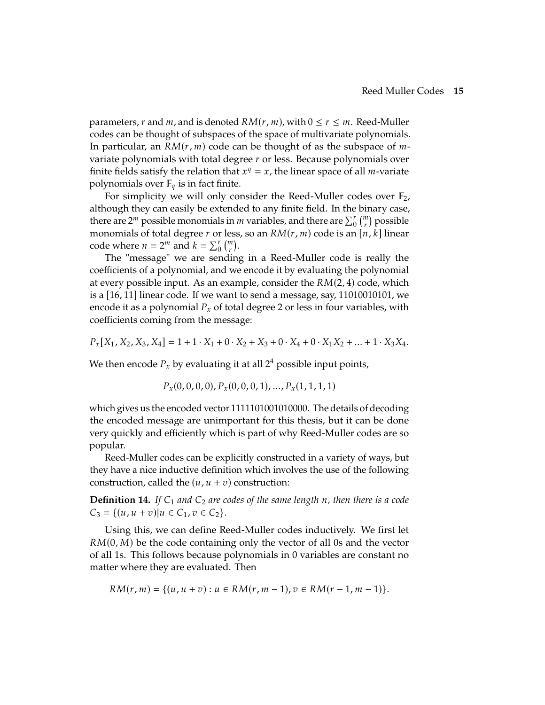parameters, r and  $m$ , and is denoted  $RM(r, m)$ , with  $0 \le r \le m$ . Reed-Muller codes can be thought of subspaces of the space of multivariate polynomials. In particular, an  $RM(r, m)$  code can be thought of as the subspace of  $m$ variate polynomials with total degree  $r$  or less. Because polynomials over finite fields satisfy the relation that  $x^q = x$ , the linear space of all *m*-variate polynomials over  $\mathbb{F}_x$  is in fact finite. polynomials over  $\mathbb{F}_q$  is in fact finite.

For simplicity we will only consider the Reed-Muller codes over  $\mathbb{F}_2$ , although they can easily be extended to any finite field. In the binary case, there are  $2^m$  possible monomials in *m* variables, and there are  $\sum_{0}^{r} {m \choose r}$  possible monomials of total dogree *r* or less so an *RM(r, m)* sode is an [*n, k*] linear monomials of total degree  $r$  or less, so an  $RM(r, m)$  code is an  $[n, k]$  linear code where  $n = 2^m$  and  $k = \sum^{r} \binom{m}{k}$ code where  $n = 2^m$  and  $k = \sum_{i=0}^r \binom{m}{r}$ .<br>The "message" we are sonding

The "message" we are sending in a Reed-Muller code is really the coefficients of a polynomial, and we encode it by evaluating the polynomial at every possible input. As an example, consider the  $RM(2, 4)$  code, which is a [16, 11] linear code. If we want to send a message, say, 11010010101, we encode it as a polynomial  $P_x$  of total degree 2 or less in four variables, with coefficients coming from the message:

$$
P_x[X_1, X_2, X_3, X_4] = 1 + 1 \cdot X_1 + 0 \cdot X_2 + X_3 + 0 \cdot X_4 + 0 \cdot X_1 X_2 + \dots + 1 \cdot X_3 X_4.
$$

We then encode  $P_x$  by evaluating it at all  $2^4$  possible input points,

$$
P_x(0,0,0,0), P_x(0,0,0,1),..., P_x(1,1,1,1)
$$

which gives us the encoded vector 1111101001010000. The details of decoding the encoded message are unimportant for this thesis, but it can be done very quickly and efficiently which is part of why Reed-Muller codes are so popular.

Reed-Muller codes can be explicitly constructed in a variety of ways, but they have a nice inductive definition which involves the use of the following construction, called the  $(u, u + v)$  construction:

<span id="page-27-0"></span>**Definition 14.** If  $C_1$  and  $C_2$  are codes of the same length  $n$ , then there is a code  $C_3 = \{(u, u + v) | u \in C_1, v \in C_2\}.$ 

Using this, we can define Reed-Muller codes inductively. We first let  $RM(0, M)$  be the code containing only the vector of all 0s and the vector of all 1s. This follows because polynomials in 0 variables are constant no matter where they are evaluated. Then

$$
RM(r, m) = \{(u, u + v) : u \in RM(r, m - 1), v \in RM(r - 1, m - 1)\}.
$$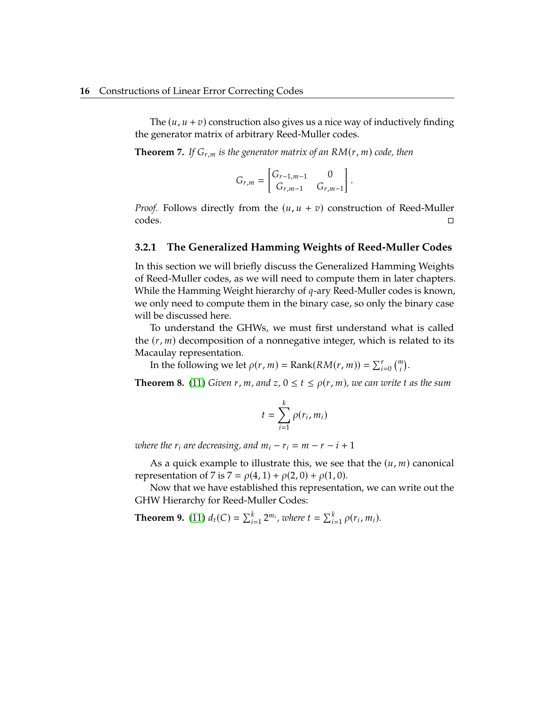The  $(u, u + v)$  construction also gives us a nice way of inductively finding the generator matrix of arbitrary Reed-Muller codes.

**Theorem 7.** If  $G_{r,m}$  is the generator matrix of an  $RM(r, m)$  code, then

$$
G_{r,m} = \begin{bmatrix} G_{r-1,m-1} & 0 \\ G_{r,m-1} & G_{r,m-1} \end{bmatrix}.
$$

*Proof.* Follows directly from the  $(u, u + v)$  construction of Reed-Muller codes. codes.

#### **3.2.1 The Generalized Hamming Weights of Reed-Muller Codes**

In this section we will briefly discuss the Generalized Hamming Weights of Reed-Muller codes, as we will need to compute them in later chapters. While the Hamming Weight hierarchy of  $q$ -ary Reed-Muller codes is known, we only need to compute them in the binary case, so only the binary case will be discussed here.

To understand the GHWs, we must first understand what is called the  $(r, m)$  decomposition of a nonnegative integer, which is related to its Macaulay representation.

In the following we let  $\rho(r, m) = \text{Rank}(RM(r, m)) = \sum_{i=0}^{r} \binom{m}{i}$ .

**Theorem 8.** [\(11\)](#page-54-1) *Given*  $r$ ,  $m$ , and  $z$ ,  $0 \le t \le \rho(r, m)$ , we can write  $t$  as the sum

$$
t = \sum_{i=1}^{k} \rho(r_i, m_i)
$$

*where the*  $r_i$  *are decreasing, and*  $m_i - r_i = m - r - i + 1$ 

As a quick example to illustrate this, we see that the  $(u, m)$  canonical representation of 7 is  $7 = \rho(4, 1) + \rho(2, 0) + \rho(1, 0)$ .

Now that we have established this representation, we can write out the GHW Hierarchy for Reed-Muller Codes:

**Theorem 9.** [\(11\)](#page-54-1)  $d_t(C) = \sum_{i=1}^{k} 2^{m_i}$ , where  $t = \sum_{i=1}^{k} \rho(r_i, m_i)$ .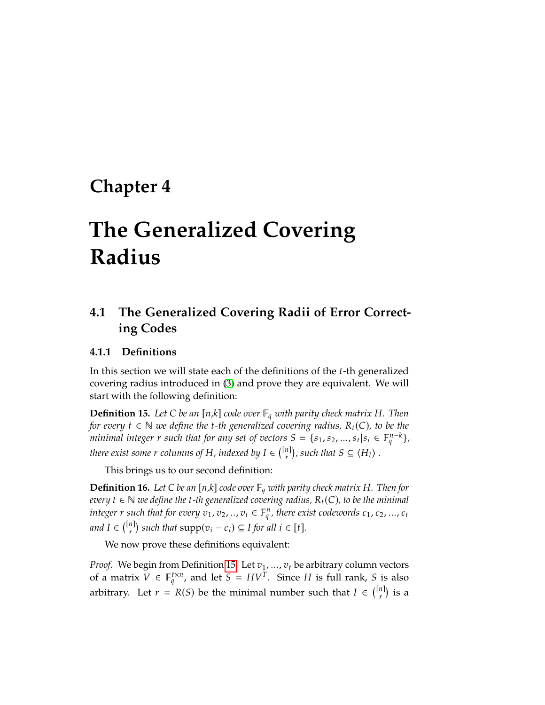## <span id="page-29-0"></span>**Chapter 4**

# **The Generalized Covering Radius**

## <span id="page-29-1"></span>**4.1 The Generalized Covering Radii of Error Correcting Codes**

### **4.1.1 Definitions**

In this section we will state each of the definitions of the  $t$ -th generalized covering radius introduced in [\(3\)](#page-53-0) and prove they are equivalent. We will start with the following definition:

<span id="page-29-2"></span>**Definition 15.** Let C be an  $[n,k]$  code over  $\mathbb{F}_q$  with parity check matrix H. Then *for every*  $t \in \mathbb{N}$  *we define the t-th generalized covering radius,*  $R_t(C)$ *, to be the minimal integer r* such that for any set of vectors  $S = \{s_1, s_2, ..., s_t | s_i \in \mathbb{F}_q^{n-k} \}$ ,  $\overline{a}$ *there exist some*  $r$  *columns of*  $H$ *, indexed by*  $I \in \binom{[n]}{r}$ *, such that*  $S \subseteq \langle H_I \rangle$ .

This brings us to our second definition:

<span id="page-29-3"></span>**Definition 16.** Let C be an  $[n,k]$  code over  $\mathbb{F}_q$  with parity check matrix H. Then for *every*  $t \in \mathbb{N}$  *we define the*  $t$ -th generalized covering radius,  $R_t(C)$ , to be the minimal  $integer r such that for every  $v_1, v_2, ..., v_t \in \mathbb{F}_q^n$ , there exist codewords  $c_1, c_2, ..., c_t$$ and  $I \in \binom{[n]}{r}$  such that  $\text{supp}(v_i - c_i) \subseteq I$  for all  $i \in [t]$ *.* 

We now prove these definitions equivalent:

*Proof.* We begin from Definition [15.](#page-29-2) Let  $v_1$ , ...,  $v_t$  be arbitrary column vectors of a matrix  $\tilde{V} \in \mathbb{F}_q^{t \times n}$ , and let  $S = HV^T$ . Since *H* is full rank, *S* is also arbitrary. Let  $r = R(S)$  be the minimal number such that  $I \in \binom{[n]}{r}$  is a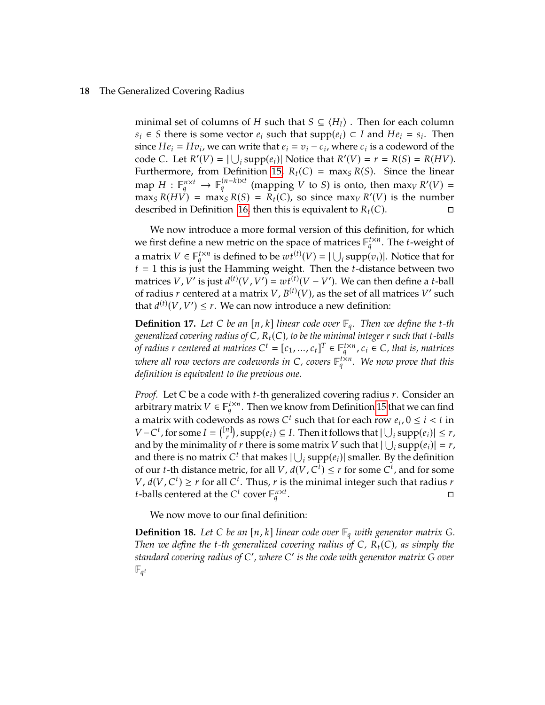minimal set of columns of H such that  $S \subseteq \langle H_I \rangle$ . Then for each column  $s_i \in S$  there is some vector  $e_i$  such that  $\text{supp}(e_i) \subset I$  and  $He_i = s_i$ . Then  $\text{supp}(e_i) \subset He_i = H_i$ . We can write that  $e_i = \pi_i - e_i$ , where  $e_i$  is a codeword of the since  $He_i = Hv_i$ , we can write that  $e_i = v_i - c_i$ , where  $c_i$  is a codeword of the code  $C_{i}$ . Let  $R'(V) = |V| \leq R(V)$  and  $R'(V) = r - R(S) - R(HV)$ code C. Let  $R'(V) = |\bigcup_i \text{supp}(e_i)|$  Notice that  $R'(V) = r = R(S) = R(HV)$ .<br>Furthermore, from Definition 15,  $R_1(C) = \max_i R(S)$ . Since the linear Furthermore, from Definition 15,  $R_t(C) = \max_S R(S)$ . Since the linear Furthermore, from Definition [15,](#page-29-2)  $R_t(C) = \max_S R(S)$ . Since the linear map  $H : \mathbb{F}^{n \times t} \to \mathbb{F}^{(n-k) \times t}$  (mapping V to S) is onto then may  $R'(V)$ . map  $H : \mathbb{F}_q^{n \times t} \to \mathbb{F}_q^{(n-k) \times t}$  (mapping V to S) is onto, then  $\max_V R'(V) =$ <br>max $_2 R(HV) = \max_{S} R(S) = R(G)$ , so since  $\max_V R'(V)$  is the number  $\max_{S} R(HV) = \max_{S} R(S) = R_t(C)$ , so since  $\max_{V} R'(V)$  is the number<br>doscribed in Definition 16, then this is equivalent to  $R_t(C)$ described in Definition [16,](#page-29-3) then this is equivalent to  $R_t(C)$ .

We now introduce a more formal version of this definition, for which we first define a new metric on the space of matrices  $\mathbb{F}_q^{t \times n}$ . The *t*-weight of a matrix  $V \in \mathbb{F}_q^{t \times n}$  is defined to be  $wt^{(t)}(V) = |\bigcup_i \text{supp}(v_i)|$ . Notice that for  $t = 1$  this is just the Hamming weight. Then the *t*-distance between two matrices  $V$ ,  $V'$  is just  $d^{(t)}(V, V') = \tau u^{(t)}(V, V')$ . We see then define a *t*-ball matrices  $V$ ,  $\hat{V}'$  is just  $d^{(t)}(V, V') = wt^{(t)}(V - V')$ . We can then define a *t*-ball<br>of radius *r* contored at a matrix  $V$ ,  $R^{(t)}(V)$  as the set of all matrices  $V'$  such of radius *r* centered at a matrix *V*,  $B^{(t)}(V)$ , as the set of all matrices *V'* such that  $d^{(t)}(V, V') < r$ . We can now introduce a now definition: that  $d^{(t)}(V, V') \leq r$ . We can now introduce a new definition:

**Definition 17.** Let C be an  $[n, k]$  linear code over  $\mathbb{F}_q$ . Then we define the t-th *generalized covering radius of* <sup>𝐶</sup>*,* <sup>𝑅</sup>𝑡(𝐶)*, to be the minimal integer* <sup>𝑟</sup> *such that* <sup>𝑡</sup>*-balls of radius r centered at matrices*  $C^t = [c_1, ..., c_t]^T \in \mathbb{F}_q^{t \times n}$ ,  $c_i \in C$ , that is, matrices where all row vectors are codewords in C, covers  $\mathbb{F}_q^{\sharp \times n}$ . We now prove that this<br>definition is equivalent to the previous one *definition is equivalent to the previous one.*

*Proof.* Let C be a code with *t*-th generalized covering radius *r*. Consider an arbitrary matrix  $V \in \mathbb{F}_q^{t \times n}$ . Then we know from Definition [15](#page-29-2) that we can find a matrix with codewords as rows  $C^t$  such that for each row  $e_i, 0 \le i < t$  in<br> $V, C^t$  for some  $I = \binom{[n]}{k}$  supp $(e_i) \subseteq I$ . Then it follows that  $|I|$  supp $(e_i)| \le r$ .  $V - C^t$ , for some  $I = \binom{[n]}{r}$ , supp $(e_i) \subseteq I$ . Then it follows that  $|\bigcup_i \text{supp}(e_i)| \leq r$ , and by the minimality of r there is some matrix V such that  $|\bigcup_i \text{supp}(e_i)| = r$ , and there is no matrix  $C^t$  that makes  $|\bigcup_i \text{supp}(e_i)|$  smaller. By the definition of our *t*-th distance metric, for all *V*,  $d(V, C^t) \le r$  for some  $C^t$ , and for some  $V/d(V, C^t) > r$  for all  $C^t$ . Thus, *r* is the minimal integer such that radius *r V*,  $d(V, C^t) \ge r$  for all  $C^t$ . Thus, *r* is the minimal integer such that radius *r* the last reduced at the  $C^t$  cover  $\mathbb{R}^{n \times t}$ . *t*-balls centered at the  $C^t$  cover  $\mathbb{F}_q^{n \times t}$ . Видео в село в последници с применени с применени с применени с применени с применени с применени с применен<br>С применени с применени с применени с применени с применени с применени с применени с применени с применени с

We now move to our final definition:

**Definition 18.** Let C be an  $[n, k]$  linear code over  $\mathbb{F}_q$  with generator matrix G. *Then we define the t-th generalized covering radius of*  $C$ *,*  $R_t(C)$ *, as simply the* standard covering radius of C', where C' is the code with generator matrix G over<br>E  $\mathbb{F}_{q^t}$ 

 $\overline{a}$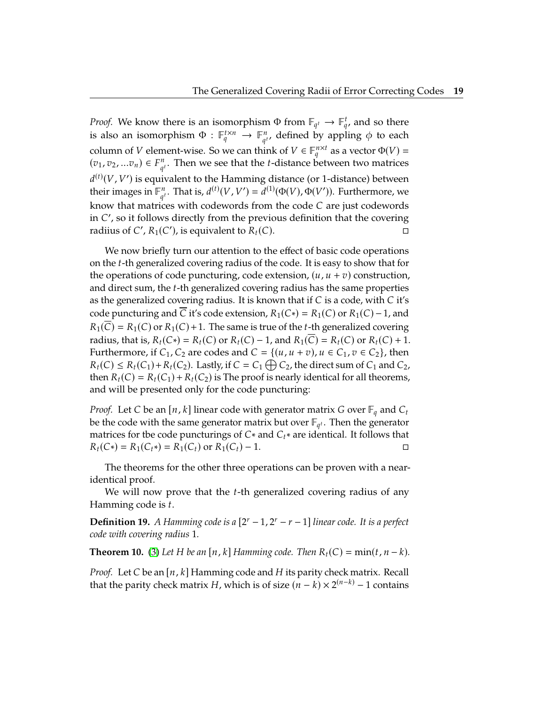*Proof.* We know there is an isomorphism  $\Phi$  from  $\mathbb{F}_{q^t} \to \mathbb{F}_q^t$ , and so there is also an isomorphism  $\Phi : \mathbb{F}_q^{t \times n} \to \mathbb{F}_{q^{t}}^n$  defined by appling  $\phi$  to each column of V element-wise. So we can think of  $V \in \mathbb{F}_q^{n \times t}$  as a vector  $\Phi(V) =$  $(v_1, v_2, ... v_n) \in F_{q^t}^n$ . Then we see that the *t*-distance between two matrices q.  $d^{(t)}(V, V')$  is equivalent to the Hamming distance (or 1-distance) between<br>their images in  $\mathbb{F}^n$ . That is  $d^{(t)}(V, V') = d^{(1)}(d^{(V)})$  ( $d^{(V')}$ ). Furthermore, we their images in  $\mathbb{F}_{q^t}^n$ . That is,  $d^{(t)}(V, V') = d^{(1)}(\Phi(V), \Phi(V'))$ . Furthermore, we know that matrices with codewords from the code  $C$  are just codewords<br>in  $C'$  so it follows directly from the provious definition that the covering in C', so it follows directly from the previous definition that the covering<br>radiius of  $C'$ ,  $P_C(C')$  is equivalent to  $P_C(C)$ radiius of C',  $R_1(C')$ , is equivalent to  $R_t(C)$ .

We now briefly turn our attention to the effect of basic code operations on the *t*-th generalized covering radius of the code. It is easy to show that for the operations of code puncturing, code extension,  $(u, u + v)$  construction, and direct sum, the *t*-th generalized covering radius has the same properties as the generalized covering radius. It is known that if  $C$  is a code, with  $C$  it's code puncturing and  $\overline{C}$  it's code extension,  $R_1(C*) = R_1(C)$  or  $R_1(C) - 1$ , and  $R_1(C) = R_1(C)$  or  $R_1(C) + 1$ . The same is true of the *t*-th generalized covering radius, that is,  $R_t(C*) = R_t(C)$  or  $R_t(C) - 1$ , and  $R_1(\overline{C}) = R_t(C)$  or  $R_t(C) + 1$ . Furthermore, if  $C_1$ ,  $C_2$  are codes and  $C = \{(u, u + v), u \in C_1, v \in C_2\}$ , then  $R_t(C) \leq R_t(C_1) + R_t(C_2)$ . Lastly, if  $C = C_1 \bigoplus C_2$ , the direct sum of  $C_1$  and  $C_2$ , then  $R_t(C) = R_t(C_1) + R_t(C_2)$  is The proof is pearly identical for all theorems. then  $R_t(C) = R_t(C_1) + R_t(C_2)$  is The proof is nearly identical for all theorems, and will be presented only for the code puncturing:

*Proof.* Let C be an [ $n$ ,  $k$ ] linear code with generator matrix G over  $\mathbb{F}_q$  and  $C_t$ be the code with the same generator matrix but over  $\mathbb{F}_{q^t}$ . Then the generator matrices for the gode nuncturings of  $G$  and  $G$  are identical. It follows that matrices for tbe code puncturings of  $C^*$  and  $C_t^*$  are identical. It follows that  $R_t(C^*) = R_1(C^*) = R_1(C_t)$  or  $R_1(C_t) = 1$ .  $R_t(C*) = R_1(C_t*) = R_1(C_t)$  or  $R_1(C_t) - 1$ .

The theorems for the other three operations can be proven with a nearidentical proof.

We will now prove that the  $t$ -th generalized covering radius of any Hamming code is  $t$ .

**Definition 19.** *A* Hamming code is a  $[2^r - 1, 2^r - r - 1]$  *linear code. It is a perfect* code *zuith copering radius* 1 *code with covering radius 1.*

**Theorem 10.** [\(3\)](#page-53-0) Let H be an [n, k] Hamming code. Then  $R_t(C) = \min(t, n - k)$ .

*Proof.* Let C be an  $[n, k]$  Hamming code and H its parity check matrix. Recall that the parity check matrix *H*, which is of size  $(n - k) \times 2^{(n-k)} - 1$  contains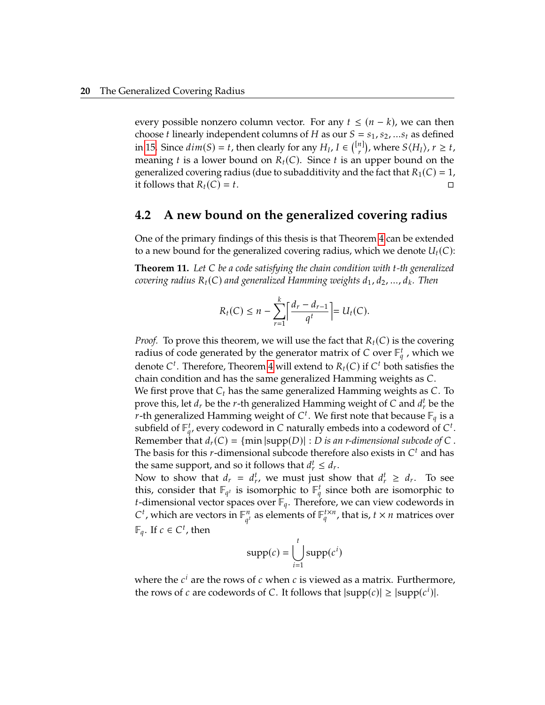every possible nonzero column vector. For any  $t \leq (n - k)$ , we can then choose *t* linearly independent columns of *H* as our  $S = s_1, s_2, ... s_t$  as defined in [15.](#page-29-2) Since  $dim(S) = t$ , then clearly for any  $H_I$ ,  $I \in \binom{[n]}{r}$ , where  $S\langle H_I \rangle$ ,  $r \ge t$ , meaning t is a lower bound on  $R(G)$ . Since t is an upper bound on the meaning *t* is a lower bound on  $R_t(C)$ . Since *t* is an upper bound on the concretized covering radius (due to subadditivity and the fact that  $R_t(C) = 1$ generalized covering radius (due to subadditivity and the fact that  $R_1(C) = 1$ , it follows that  $R_t(C) = t$ . it follows that  $R_t(C) = t$ .

### <span id="page-32-0"></span>**4.2 A new bound on the generalized covering radius**

One of the primary findings of this thesis is that Theorem [4](#page-23-0) can be extended to a new bound for the generalized covering radius, which we denote  $U_t(C)$ :

**Theorem 11.** Let C be a code satisfying the chain condition with t-th generalized *covering radius*  $R_t(C)$  *and generalized Hamming weights*  $d_1, d_2, ..., d_k$ . Then

$$
R_t(C) \leq n - \sum_{r=1}^k \left\lceil \frac{d_r - d_{r-1}}{q^t} \right\rceil = U_t(C).
$$

*Proof.* To prove this theorem, we will use the fact that  $R_t(C)$  is the covering radius of code generated by the generator matrix of C over  $\mathbb{F}_q^t$ , which we<br>denote C<sup>t</sup>. Therefore, Theorem 4 will ovtend to *B* (C) if C<sup>t</sup> both estiglies the denote  $C^t$ . Therefore, Theorem [4](#page-23-0) will extend to  $R_t(C)$  if  $C^t$  both satisfies the chain condition and has the same concratized Hamming weights as  $C$ chain condition and has the same generalized Hamming weights as C.

We first prove that  $C_t$  has the same generalized Hamming weights as C. To prove this, let  $d_r$  be the r-th generalized Hamming weight of C and  $d_r^t$  be the r-th generalized Hamming weight of  $C^t$ . We first note that because  $\mathbb E$  is a *r*-th generalized Hamming weight of  $C^t$ . We first note that because  $\mathbb{F}_q$  is a<br>subfield of  $\mathbb{F}^t$  every codeword in C naturally embods into a codeword of  $C^t$ subfield of  $\mathbb{F}_q^t$ , every codeword in C naturally embeds into a codeword of  $C^t$ .<br>Romember that  $d(G) = fmin[\text{sum}(D)] \cdot D$  is an redimensional subsede of C Remember that  $d_r(C) = \{\min |\text{supp}(D)| : D \text{ is an } r\text{-dimensional subcode of } C \}.$ <br>The basis for this r-dimensional subcode therefore also exists in  $C^t$  and basis The basis for this *r*-dimensional subcode therefore also exists in  $C<sup>t</sup>$  and has the same support, and so it follows that  $d<sup>t</sup> < d$ the same support, and so it follows that  $d_t^t \leq d_t$ .<br>Now to show that  $d_t = d_t^t$ , we must just she

Now to show that  $d_r = d_r^t$ , we must just show that  $d_r^t \geq d_r$ . To see this, consider that  $\mathbb{F}_{q^t}$  is isomorphic to  $\mathbb{F}_q^t$  since both are isomorphic to the dimensional vector graces over  $\mathbb{F}_q$ . Therefore, we can view sedewards in *t*-dimensional vector spaces over  $\mathbb{F}_q$ . Therefore, we can view codewords in  $C^t$ , which are vectors in  $\mathbb{F}^n$ , as elements of  $\mathbb{F}^{\{X\}}$ , that is  $f \times g$  matrices even  $C^t$ , which are vectors in  $\mathbb{F}_{q^t}^n$  as elements of  $\mathbb{F}_q^{t \times n}$ , that is,  $t \times n$  matrices over  $\overline{\phantom{a}}$  $\mathbb{F}_q$ . If  $c \in \mathbb{C}^t$ , then

$$
supp(c) = \bigcup_{i=1}^{t} supp(c^i)
$$

where the  $c^i$  are the rows of  $c$  when  $c$  is viewed as a matrix. Furthermore, the rows of  $c$  are codewords of  $C$ . It follows that  $|\text{sum}(c)| > |\text{sum}(c^i)|$ the rows of  $c$  are codewords of  $C$ . It follows that  $|\text{supp}(c)| \ge |\text{supp}(c^i)|$ .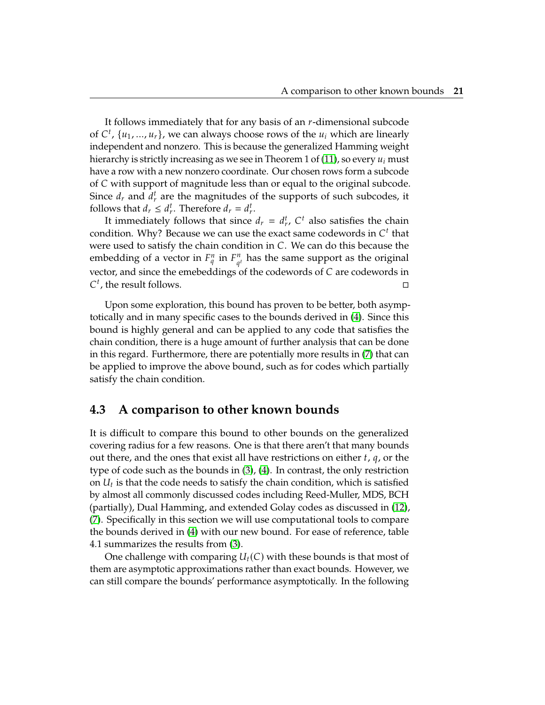It follows immediately that for any basis of an  $r$ -dimensional subcode of  $C^t$ ,  $\{u_1, ..., u_r\}$ , we can always choose rows of the  $u_i$  which are linearly independent and personal This is because the concretized Hamming weight independent and nonzero. This is because the generalized Hamming weight hierarchy is strictly increasing as we see in Theorem 1 of [\(11\)](#page-54-1), so every  $u_i$  must have a row with a new nonzero coordinate. Our chosen rows form a subcode of C with support of magnitude less than or equal to the original subcode. Since  $d_r$  and  $d_r^t$  are the magnitudes of the supports of such subcodes, it follows that  $d \leq d_t^t$ . Therefore  $d = d_t^t$ follows that  $d_r \leq d_r^t$ . Therefore  $d_r = d_r^t$ .<br>It immodiately follows that since

It immediately follows that since  $d_r = d_r^t$ ,  $C^t$  also satisfies the chain dition. Why? Because we can use the exact same codewords in  $C^t$  that condition. Why? Because we can use the exact same codewords in  $C<sup>t</sup>$  that<br>were used to satisfy the chain condition in  $C<sup>t</sup>$  We can do this because the were used to satisfy the chain condition in C. We can do this because the embedding of a vector in  $F_q^n$  in  $F_{q^t}^n$  has the same support as the original vector, and since the emebeddings of the codewords of  $\overline{C}$  are codewords in  $\overline{C}^t$  the result follows 𝐶  $^t$ , the result follows.

Upon some exploration, this bound has proven to be better, both asymptotically and in many specific cases to the bounds derived in [\(4\)](#page-53-1). Since this bound is highly general and can be applied to any code that satisfies the chain condition, there is a huge amount of further analysis that can be done in this regard. Furthermore, there are potentially more results in [\(7\)](#page-53-5) that can be applied to improve the above bound, such as for codes which partially satisfy the chain condition.

### <span id="page-33-0"></span>**4.3 A comparison to other known bounds**

It is difficult to compare this bound to other bounds on the generalized covering radius for a few reasons. One is that there aren't that many bounds out there, and the ones that exist all have restrictions on either  $t$ ,  $q$ , or the type of code such as the bounds in [\(3\)](#page-53-0), [\(4\)](#page-53-1). In contrast, the only restriction on  $U_t$  is that the code needs to satisfy the chain condition, which is satisfied<br>by almost all commonly discussed sodes including Rood-Muller MDS, BCH by almost all commonly discussed codes including Reed-Muller, MDS, BCH (partially), Dual Hamming, and extended Golay codes as discussed in [\(12\)](#page-54-2), [\(7\)](#page-53-5). Specifically in this section we will use computational tools to compare the bounds derived in [\(4\)](#page-53-1) with our new bound. For ease of reference, table 4.1 summarizes the results from [\(3\)](#page-53-0).

One challenge with comparing  $U_t(C)$  with these bounds is that most of them are asymptotic approximations rather than exact bounds. However, we can still compare the bounds' performance asymptotically. In the following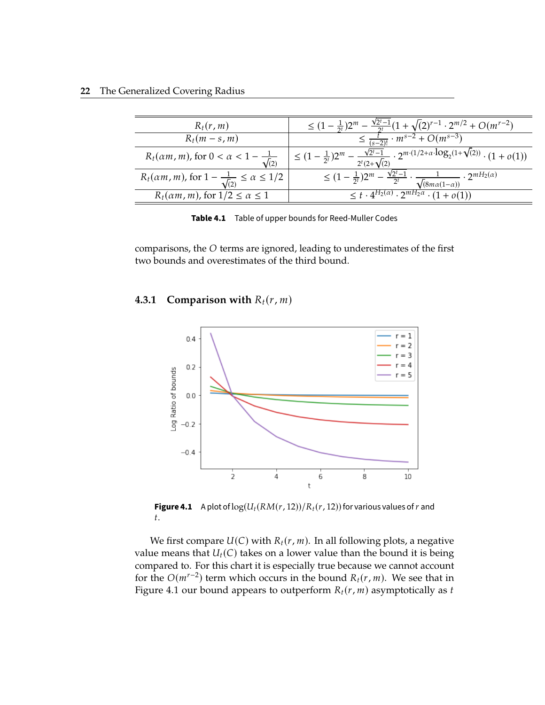<span id="page-34-1"></span>

| $R_t(r, m)$                                                                  | $\frac{r-1}{t}(1+\sqrt{(2)^{r-1}\cdot 2^{m/2}}+O(m^{r-2}))$                                                                                     |  |
|------------------------------------------------------------------------------|-------------------------------------------------------------------------------------------------------------------------------------------------|--|
| $R_t(m-s,m)$                                                                 | $\leq \frac{t}{(s-2)!} \cdot m^{s-2} + O(m^{s-3})$                                                                                              |  |
| $R_t(\alpha m, m)$ , for $0 < \alpha < 1 - \frac{1}{\sqrt{n}}$<br>$\sqrt{2}$ | $\leq (1 - \frac{1}{2^t})2^m - \frac{\sqrt{2^t-1}}{2^t(2+\sqrt{2})} \cdot 2^{m \cdot (1/2 + \alpha \cdot \log_2(1+\sqrt{2}))} \cdot (1 + o(1))$ |  |
| $R_t(\alpha m, m)$ , for $1 - \frac{1}{\sqrt{2}} \le \alpha \le 1/2$         | $-\cdot \frac{1}{\sqrt{(8m\alpha(1-\alpha))}}\cdot 2^{mH_2(\alpha)}$<br>$\leq (1 - \frac{1}{2^{t}})2^{m}$ –                                     |  |
| $R_t(\alpha m, m)$ , for $1/2 \leq \alpha \leq 1$                            | $\overline{t\cdot 4^{H_2(\alpha)}\cdot 2^{mH_2\alpha}\cdot (1+o(1))}$                                                                           |  |
|                                                                              |                                                                                                                                                 |  |

**Table 4.1** Table of upper bounds for Reed-Muller Codes

comparisons, the O terms are ignored, leading to underestimates of the first two bounds and overestimates of the third bound.

### **4.3.1 Comparison with**  $R_t(r, m)$

<span id="page-34-0"></span>

**Figure 4.1** A plot of  $log(U_t(RM(r, 12))/R_t(r, 12))$  for various values of r and t.

We first compare  $U(C)$  with  $R_t(r, m)$ . In all following plots, a negative value means that  $U_t(C)$  takes on a lower value than the bound it is being compared to. For this chart it is especially true because we cannot account for the  $O(m^{r-2})$  term which occurs in the bound  $R_t(r, m)$ . We see that in Figure 4.1 our bound appears to outperform  $R_t(r, m)$  asymptotically as  $t$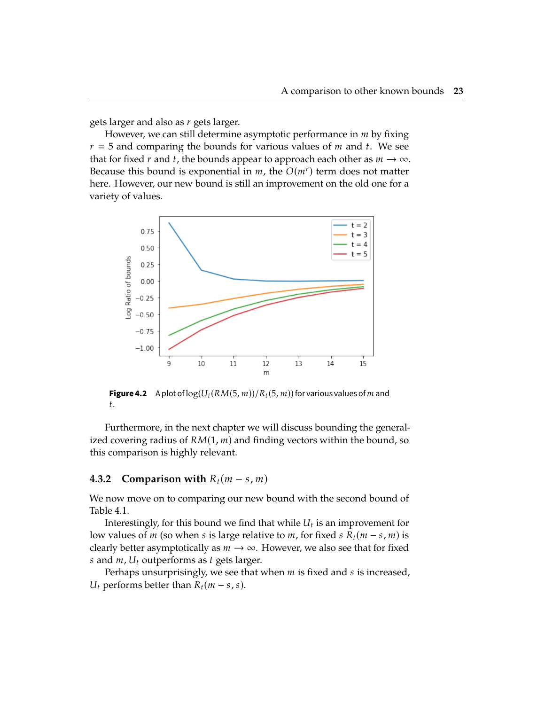gets larger and also as  $r$  gets larger.

However, we can still determine asymptotic performance in  *by fixing*  $r = 5$  and comparing the bounds for various values of  $m$  and  $t$ . We see that for fixed  $r$  and  $t$ , the bounds appear to approach each other as  $m \to \infty$ . Because this bound is exponential in  $m$ , the  $O(m^r)$  term does not matter here. However, our now bound is still an improvement on the old one for a here. However, our new bound is still an improvement on the old one for a variety of values.

<span id="page-35-0"></span>

**Figure 4.2** A plot of  $log(U_t(RM(5,m))/R_t(5,m))$  for various values of m and  $t$ .

Furthermore, in the next chapter we will discuss bounding the generalized covering radius of  $RM(1, m)$  and finding vectors within the bound, so this comparison is highly relevant.

#### **4.3.2 Comparison with**  $R_t(m-s,m)$

We now move on to comparing our new bound with the second bound of Table 4.1.

Interestingly, for this bound we find that while  $U_t$  is an improvement for values of m (so when s is large relative to m for fixed s  $R_1(m-\varepsilon, m)$  is low values of  $m$  (so when  $s$  is large relative to  $m$ , for fixed  $s R_t(m - s, m)$  is clearly better asymptotically as  $m \to \infty$ . However, we also see that for fixed s and  $m$ ,  $U_t$  outperforms as  $t$  gets larger.

Perhaps unsurprisingly, we see that when  $m$  is fixed and  $s$  is increased,  $U_t$  performs better than  $R_t(m - s, s)$ .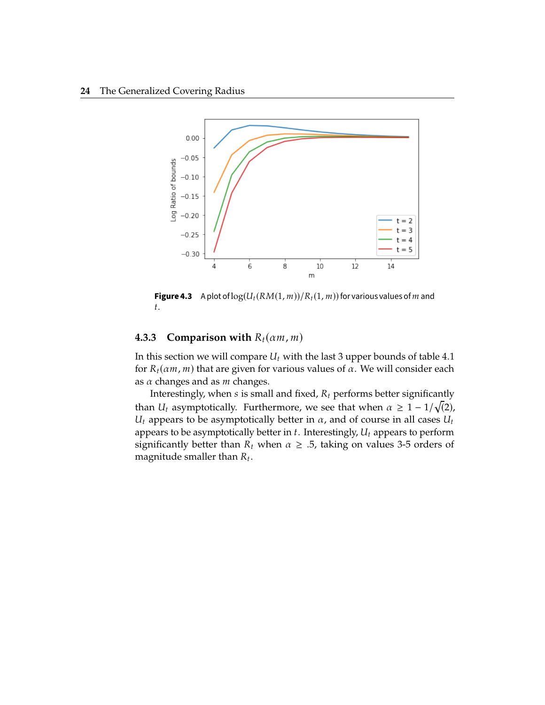<span id="page-36-0"></span>

**Figure 4.3** A plot of  $log(U_t(RM(1,m))/R_t(1,m))$  for various values of m and t.

### **4.3.3 Comparison with**  $R_t(\alpha m, m)$

In this section we will compare  $U_t$  with the last 3 upper bounds of table 4.1 for  $R_t(\alpha m, m)$  that are given for various values of  $\alpha$ . We will consider each as  $\alpha$  changes and as  $m$  changes.

Interestingly, when  $s$  is small and fixed,  $R_t$  performs better significantly than  $U_t$  asymptotically. Furthermore, we see that when  $\alpha \geq 1 - 1/\sqrt{2}$ ,<br>*U*, appears to be asymptotically better in  $\alpha$ , and of course in all cases *U*,  $U_t$  appears to be asymptotically better in  $\alpha$ , and of course in all cases  $U_t$ appears to be asymptotically better in  $t$ . Interestingly,  $U_t$  appears to perform significantly better than  $R_t$  when  $\alpha \geq 0.5$ , taking on values 3-5 orders of magnitude smaller than  $R_t$ .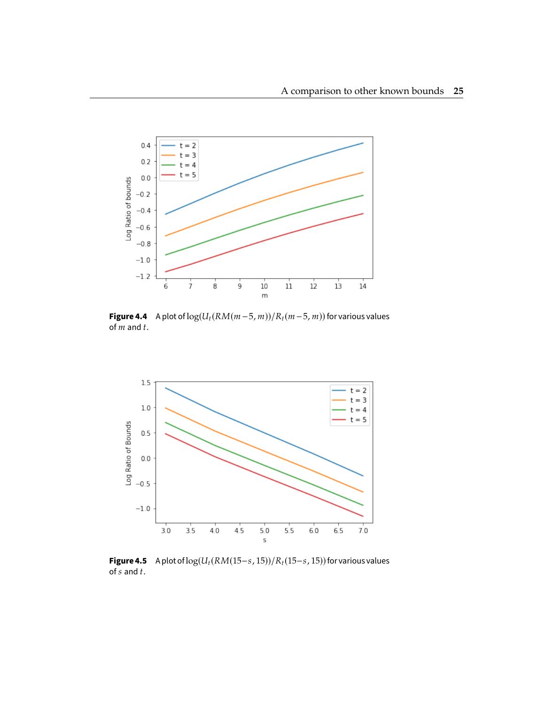<span id="page-37-0"></span>

**Figure 4.4** A plot of  $log(U_t(RM(m-5,m))/R_t(m-5,m))$  for various values of  $m$  and  $t$ .

<span id="page-37-1"></span>

**Figure 4.5** A plot of  $log(U_t(RM(15-s, 15))/R_t(15-s, 15))$  for various values of  $s$  and  $t$ .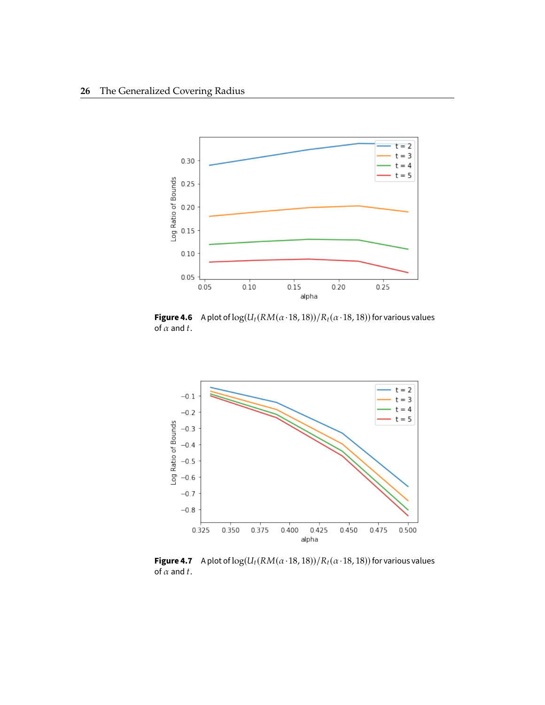<span id="page-38-0"></span>

**Figure 4.6** A plot of  $log(U_t(RM(\alpha\cdot 18, 18))/R_t(\alpha\cdot 18, 18))$  for various values of  $\alpha$  and  $t$ .

<span id="page-38-1"></span>

**Figure 4.7** A plot of  $log(U_t(RM(\alpha \cdot 18, 18))/R_t(\alpha \cdot 18, 18))$  for various values of  $\alpha$  and  $t$ .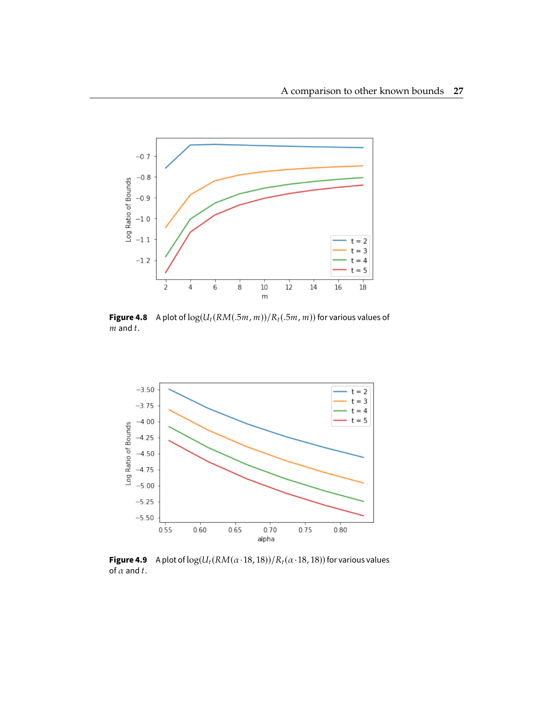<span id="page-39-0"></span>

**Figure 4.8** A plot of  $log(U_t(RM(.5m,m))/R_t(.5m,m))$  for various values of  $m$  and  $t$ .

<span id="page-39-1"></span>

**Figure 4.9** A plot of  $log(U_t(RM(\alpha \cdot 18, 18))/R_t(\alpha \cdot 18, 18))$  for various values of  $\alpha$  and  $t$ .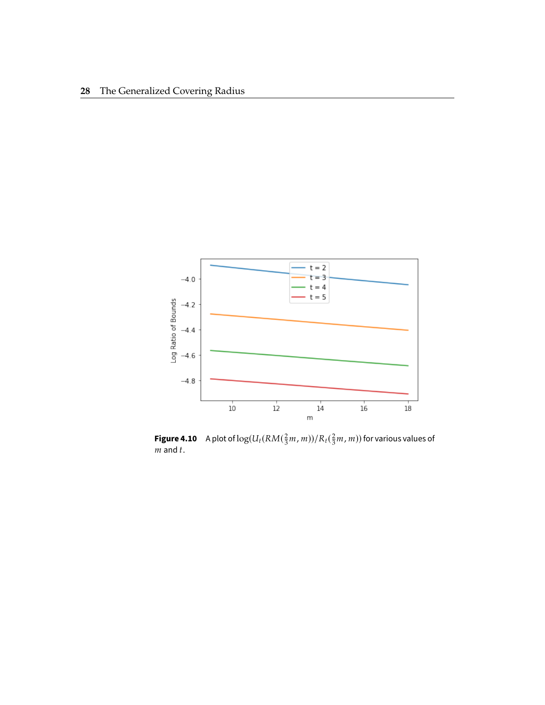<span id="page-40-0"></span>

**Figure 4.10** A plot of  $\log(U_t(RM(\frac{2}{3}m,m))/R_t(\frac{2}{3}m,m))$  for various values of  $m$  and  $t$ .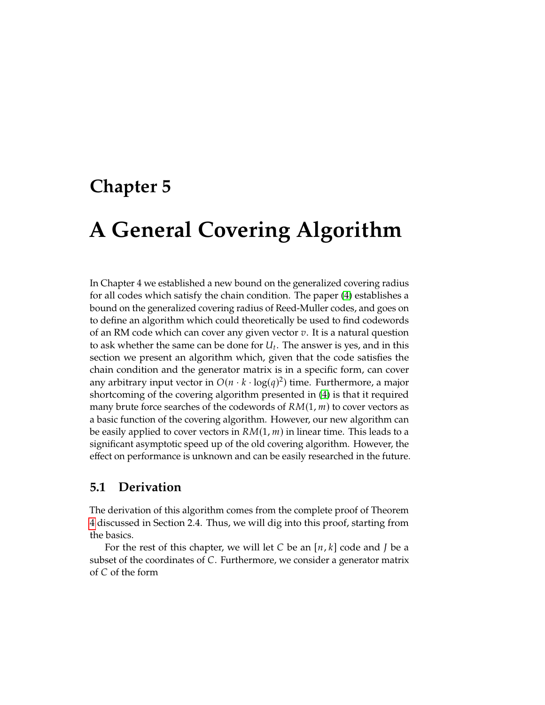## <span id="page-41-0"></span>**Chapter 5**

# **A General Covering Algorithm**

In Chapter 4 we established a new bound on the generalized covering radius for all codes which satisfy the chain condition. The paper [\(4\)](#page-53-1) establishes a bound on the generalized covering radius of Reed-Muller codes, and goes on to define an algorithm which could theoretically be used to find codewords of an RM code which can cover any given vector  $v$ . It is a natural question to ask whether the same can be done for  $U_t$ . The answer is yes, and in this section we present an algorithm which given that the sede satisfies the section we present an algorithm which, given that the code satisfies the chain condition and the generator matrix is in a specific form, can cover any arbitrary input vector in  $O(n \cdot k \cdot \log(q)^2)$  time. Furthermore, a major<br>shortcoming of the covering algorithm presented in (4) is that it required shortcoming of the covering algorithm presented in [\(4\)](#page-53-1) is that it required many brute force searches of the codewords of  $RM(1, m)$  to cover vectors as a basic function of the covering algorithm. However, our new algorithm can be easily applied to cover vectors in  $RM(1, m)$  in linear time. This leads to a significant asymptotic speed up of the old covering algorithm. However, the effect on performance is unknown and can be easily researched in the future.

### <span id="page-41-1"></span>**5.1 Derivation**

The derivation of this algorithm comes from the complete proof of Theorem [4](#page-23-0) discussed in Section <sup>2</sup>.4. Thus, we will dig into this proof, starting from the basics.

For the rest of this chapter, we will let C be an  $[n, k]$  code and *J* be a subset of the coordinates of C. Furthermore, we consider a generator matrix of C of the form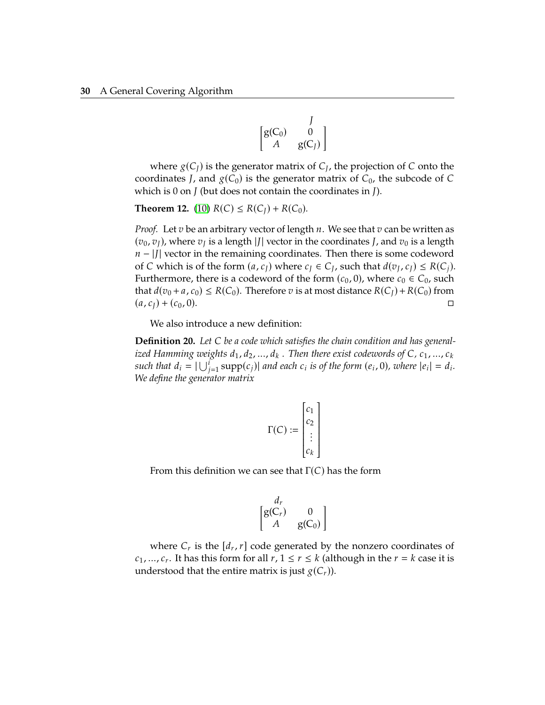$$
\begin{bmatrix} g(C_0) & 0 \ A & g(C_J) \end{bmatrix}
$$

where  $g(C_J)$  is the generator matrix of  $C_J$ , the projection of C onto the relineates  $I$ , and  $g(C_0)$  is the generator matrix of  $C_0$ , the subsede of C coordinates *J*, and  $g(C_0)$  is the generator matrix of  $C_0$ , the subcode of C which is  $0$  on  $J$  (but does not contain the coordinates in  $J$ ).

**Theorem 12.** [\(10\)](#page-54-3)  $R(C) \leq R(C_I) + R(C_0)$ .

*Proof.* Let  $v$  be an arbitrary vector of length  $n$ . We see that  $v$  can be written as  $(v_0, v_J)$ , where  $v_J$  is a length |*J*| vector in the coordinates *J*, and  $v_0$  is a length  $u_0$  is a length  $n - |J|$  vector in the remaining coordinates. Then there is some codeword of C which is of the form  $(a, c_J)$  where  $c_J \in C_J$ , such that  $d(v_J, c_J) \leq R(C_J)$ .<br>Furthermore, there is a sedeward of the form  $(c_0, 0)$ , where  $c_0 \in C_0$ , such Furthermore, there is a codeword of the form  $(c_0, 0)$ , where  $c_0 \in C_0$ , such that  $d(v_0 + a, c_0) \le R(C_0)$ . Therefore  $v$  is at most distance  $R(C_J) + R(C_0)$  from  $(a, c_J) + (c_0, 0)$ .  $(a, c_J) + (c_0, 0).$ 

We also introduce a new definition:

<span id="page-42-0"></span>**Definition 20.** Let C be a code which satisfies the chain condition and has general*ized Hamming weights*  $d_1, d_2, ..., d_k$ . Then there exist codewords of  $C, c_1, ..., c_k$ such that  $d_i = |\bigcup_{j=1}^i \text{supp}(c_j)|$  and each  $c_i$  is of the form  $(e_i, 0)$ , where  $|e_i| = d_i$ . such that  $u_i = \prod_{j=1}^r \sup p(c_j)$ <br>We define the generator matrix

$$
\Gamma(C) := \begin{bmatrix} c_1 \\ c_2 \\ \vdots \\ c_k \end{bmatrix}
$$

From this definition we can see that  $\Gamma(C)$  has the form

$$
\begin{bmatrix} d_r \\ g(C_r) & 0 \\ A & g(C_0) \end{bmatrix}
$$

where  $C_r$  is the  $[d_r, r]$  code generated by the nonzero coordinates of  $c_1, ..., c_r$ . It has this form for all  $r, 1 \le r \le k$  (although in the  $r = k$  case it is understood that the ontire matrix is just  $g(C)$ ) understood that the entire matrix is just  $g(C_r)$ ).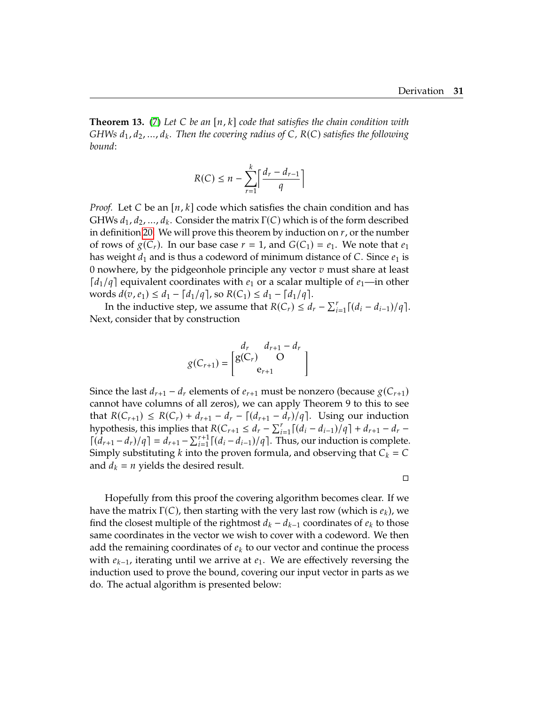**Theorem 13.** [\(7\)](#page-53-5) Let C be an [n, k] code that satisfies the chain condition with *GHWs*  $d_1, d_2, ..., d_k$ *. Then the covering radius of C, R(C) satisfies the following bound:*

$$
R(C) \le n - \sum_{r=1}^{k} \left\lceil \frac{d_r - d_{r-1}}{q} \right\rceil
$$

*Proof.* Let C be an  $[n, k]$  code which satisfies the chain condition and has GHWs  $d_1, d_2, ..., d_k$ . Consider the matrix  $\Gamma(C)$  which is of the form described in definition [20.](#page-42-0) We will prove this theorem by induction on  $r$ , or the number of rows of  $g(C_r)$ . In our base case  $r = 1$ , and  $G(C_1) = e_1$ . We note that  $e_1$ has weight  $d_1$  and is thus a codeword of minimum distance of C. Since  $e_1$  is 0 nowhere, by the pidgeonhole principle any vector  $v$  must share at least  $\lceil d_1/q \rceil$  equivalent coordinates with  $e_1$  or a scalar multiple of  $e_1$ —in other words  $d(v, e_1) \leq d_1 - \frac{d_1}{q}$ , so  $R(C_1) \leq d_1 - \frac{d_1}{q}$ .

In the inductive step, we assume that  $R(C_r) \leq d_r - \sum_{i=1}^r \lceil (d_i - d_{i-1})/q \rceil$ .<br>At consider that by construction Next, consider that by construction

$$
g(C_{r+1}) = \begin{bmatrix} d_r & d_{r+1} - d_r \\ g(C_r) & O \\ e_{r+1} \end{bmatrix}
$$

Since the last  $d_{r+1} - d_r$  elements of  $e_{r+1}$  must be nonzero (because  $g(C_{r+1})$ cannot have columns of all zeros), we can apply Theorem 9 to this to see that  $R(C_{r+1}) \leq R(C_r) + d_{r+1} - d_r - \left[\frac{d_{r+1} - d_r}{q}\right]$ . Using our induction hypothesis, this implies that  $R(C_{r+1} \leq d_r - \sum_{i=1}^r [(d_i - d_{i-1})/q] + d_{r+1} - d_r$ ry pothesis, this implies that  $K(C_{r+1} \leq a_r - \sum_{i=1}^{r+1} [(d_{r+1} - d_r)/q]$ . The same substituting k into the proven formula  $\sum_{i=1}^{r+1} [(d_i - d_{i-1})/q]$ . Thus, our induction is complete. Simply substituting  $k$  into the proven formula, and observing that  $C_k = C$ and  $d_k = n$  yields the desired result.

 $\Box$ 

Hopefully from this proof the covering algorithm becomes clear. If we have the matrix  $\Gamma(C)$ , then starting with the very last row (which is  $e_k$ ), we find the closest multiple of the rightmost  $d_k - d_{k-1}$  coordinates of  $e_k$  to those same coordinates in the vector we wish to cover with a codeword. We then add the remaining coordinates of  $e_k$  to our vector and continue the process with  $e_{k-1}$ , iterating until we arrive at  $e_1$ . We are effectively reversing the induction used to prove the bound, covering our input vector in parts as we do. The actual algorithm is presented below: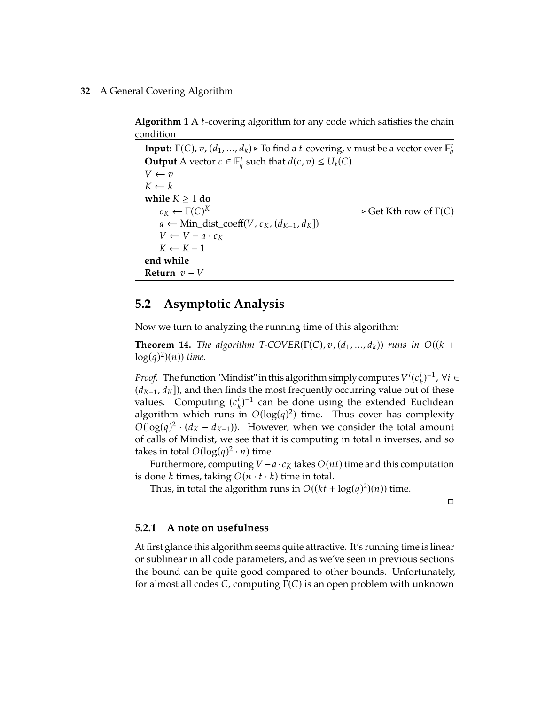**Algorithm 1** A *t*-covering algorithm for any code which satisfies the chain condition

**Input:**  $\Gamma(C)$ ,  $v$ ,  $(d_1, ..., d_k)$   $\triangleright$  To find a *t*-covering, v must be a vector over  $\mathbb{F}_q^t$ <br>Output A vector  $a \in \mathbb{F}^t$  such that  $d(a, x) \leq U(G)$  $\overline{\phantom{a}}$ **Output** A vector  $c \in \mathbb{F}_q^t$  such that  $d(c, v) \leq U_t(C)$  $\overline{a}$  $V \leftarrow v$  $K \leftarrow k$ **while**  $K \geq 1$  **do**  $c_K \leftarrow \Gamma(C)^K$  $\triangleright$  Get Kth row of  $\Gamma(C)$  $a \leftarrow Min\_dist\_coeff(V, c_K, (d_{K-1}, d_K])$  $V \leftarrow V - a \cdot c_K$  $K \leftarrow K - 1$ **end while Return**  $v - V$ 

### <span id="page-44-0"></span>**5.2 Asymptotic Analysis**

Now we turn to analyzing the running time of this algorithm:

**Theorem 14.** *The algorithm T-COVER(* $\Gamma(C)$ *,*  $\sigma$ *,*  $(d_1, ..., d_k)$ *) runs in*  $O((k + 1))$  $log(q)^2)(n)$  *time.* 

*Proof.* The function "Mindist" in this algorithm simply computes  $V^i(c_k^i)^{-1}$ ,  $\forall i \in$ <br>(dx, , dx) and then finds the most frequently occurring value out of these  $(d_{K-1}, d_K)$ , and then finds the most frequently occurring value out of these values. Computing  $(c_k^i)^{-1}$  can be done using the extended Euclidean algorithm which runs in  $O(log(q)^2)$  time. Thus cover has complexity  $O(log(q)^2)$  (dx, dx, i)). However, when we consider the total amount  $O(log(q)^2 \cdot (d_K - d_{K-1}))$ . However, when we consider the total amount of calls of Mindist, we see that it is computing in total  $n$  inverses, and so takes in total  $O(log(q)^2 \cdot n)$  time.<br>Furthermore computing  $V$ 

Furthermore, computing  $V - a \cdot c_K$  takes  $O(nt)$  time and this computation is done k times, taking  $O(n \cdot t \cdot k)$  time in total.

Thus, in total the algorithm runs in  $O((kt + log(q)^2)(n))$  time.

 $\Box$ 

#### **5.2.1 A note on usefulness**

At first glance this algorithm seems quite attractive. It's running time is linear or sublinear in all code parameters, and as we've seen in previous sections the bound can be quite good compared to other bounds. Unfortunately, for almost all codes C, computing  $\Gamma(C)$  is an open problem with unknown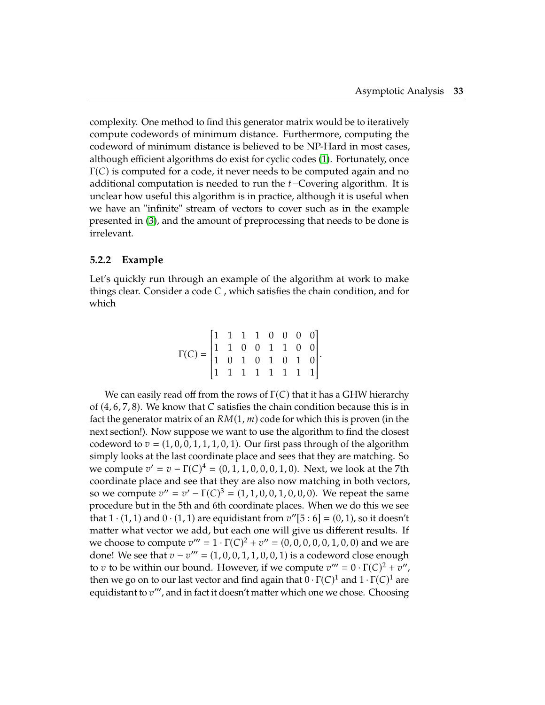complexity. One method to find this generator matrix would be to iteratively compute codewords of minimum distance. Furthermore, computing the codeword of minimum distance is believed to be NP-Hard in most cases, although efficient algorithms do exist for cyclic codes [\(1\)](#page-53-8). Fortunately, once  $\Gamma(C)$  is computed for a code, it never needs to be computed again and no additional computation is needed to run the  $t$ −Covering algorithm. It is unclear how useful this algorithm is in practice, although it is useful when we have an "infinite" stream of vectors to cover such as in the example presented in [\(3\)](#page-53-0), and the amount of preprocessing that needs to be done is irrelevant.

#### **5.2.2 Example**

Let's quickly run through an example of the algorithm at work to make things clear. Consider a code  $C$ , which satisfies the chain condition, and for which

$$
\Gamma(C) = \begin{bmatrix} 1 & 1 & 1 & 1 & 0 & 0 & 0 & 0 \\ 1 & 1 & 0 & 0 & 1 & 1 & 0 & 0 \\ 1 & 0 & 1 & 0 & 1 & 0 & 1 & 0 \\ 1 & 1 & 1 & 1 & 1 & 1 & 1 & 1 \end{bmatrix}.
$$

We can easily read off from the rows of  $\Gamma(C)$  that it has a GHW hierarchy of  $(4, 6, 7, 8)$ . We know that C satisfies the chain condition because this is in fact the generator matrix of an  $RM(1, m)$  code for which this is proven (in the next section!). Now suppose we want to use the algorithm to find the closest codeword to  $v = (1, 0, 0, 1, 1, 1, 0, 1)$ . Our first pass through of the algorithm simply looks at the last coordinate place and sees that they are matching. So we compute  $v' = v - \Gamma(C)^4 = (0, 1, 1, 0, 0, 0, 1, 0)$ . Next, we look at the 7th coordinate place and see that they are also now matching in both vectors coordinate place and see that they are also now matching in both vectors, so we compute  $v'' = v' - \Gamma(C)^3 = (1, 1, 0, 0, 1, 0, 0, 0)$ . We repeat the same procedure but in the 5th and 6th coordinate places. When we do this we see that  $1 \cdot (1, 1)$  and  $0 \cdot (1, 1)$  are equidistant from  $v''[5 : 6] = (0, 1)$ , so it doesn't matter what vector we add, but each one will give us different results. If we choose to compute  $v''' = 1 \cdot \Gamma(C)^2 + v'' = (0, 0, 0, 0, 0, 1, 0, 0)$  and we are<br>done! We see that  $v = v''' = (1, 0, 0, 1, 1, 0, 0, 1)$  is a codeword close enough done! We see that  $v - v''' = (1, 0, 0, 1, 1, 0, 0, 1)$  is a codeword close enough to z to be within our bound. However, if we compute  $v''' = 0$ ,  $\Gamma(C)^2 + v'''$ to *v* to be within our bound. However, if we compute  $v''' = 0 \cdot \Gamma(C)^2 + v''$ ,<br>then we go on to our last vector and find again that 0.  $\Gamma(C)^1$  and 1.  $\Gamma(C)^1$  are then we go on to our last vector and find again that  $0 \cdot \Gamma(C)^{1}$  and  $1 \cdot \Gamma(C)^{1}$  are<br>oquidistant to z''', and in fact it doesn't matter which one we chose. Choosing equidistant to  $v'''$ , and in fact it doesn't matter which one we chose. Choosing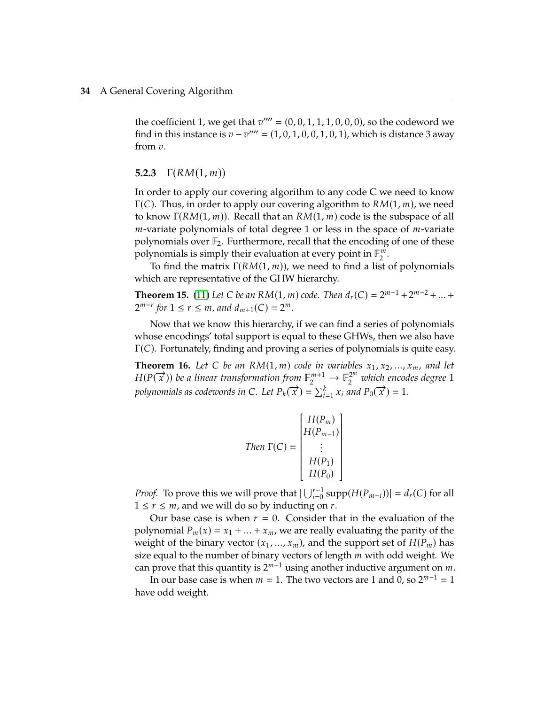the coefficient 1, we get that  $v''' = (0, 0, 1, 1, 1, 0, 0, 0)$ , so the codeword we<br>find in this instance is  $v = v''' = (1, 0, 1, 0, 0, 1, 0, 1)$  which is distance 3 away. find in this instance is  $v - v^{\prime\prime\prime\prime} = (1, 0, 1, 0, 0, 1, 0, 1)$ , which is distance 3 away from  $v$ .

#### **5.2.3**  $\Gamma(RM(1,m))$

In order to apply our covering algorithm to any code C we need to know Γ(C). Thus, in order to apply our covering algorithm to  $RM(1, m)$ , we need to know  $\Gamma(RM(1,m))$ . Recall that an  $RM(1,m)$  code is the subspace of all *-variate polynomials of total degree 1 or less in the space of*  $*m*$ *-variate* polynomials over  $\mathbb{F}_2$ . Furthermore, recall that the encoding of one of these polynomials is simply their evaluation at every point in  $\mathbb{F}_2^m$ .

To find the matrix  $Γ(RM(1, m))$ , we need to find a list of polynomials which are representative of the GHW hierarchy.

<span id="page-46-0"></span>**Theorem 15.** [\(11\)](#page-54-1) Let C be an RM(1, m) code. Then  $d_r(C) = 2^{m-1} + 2^{m-2} + ... + 2^{m-r}$  for  $1 \le r \le m$ , and  $d_{r_m}(C) = 2^m$  $2^{m-r}$  for  $1 \leq r \leq m$ , and  $d_{m+1}(C) = 2^m$ .

Now that we know this hierarchy, if we can find a series of polynomials whose encodings' total support is equal to these GHWs, then we also have  $\Gamma(C)$ . Fortunately, finding and proving a series of polynomials is quite easy.

**Theorem 16.** Let C be an  $RM(1, m)$  code in variables  $x_1, x_2, ..., x_m$ , and let  $H(P(\vec{x}))$  be a linear transformation from  $\mathbb{F}_2^{m+1} \to \mathbb{F}_2^{2^m}$  which encodes degree 1 polynomials as codewords in C. Let  $P_k(\vec{x}) = \sum_{i=1}^k x_i$  and  $P_0(\vec{x}) = 1$ .

Then 
$$
\Gamma(C) = \begin{bmatrix} H(P_m) \\ H(P_{m-1}) \\ \vdots \\ H(P_1) \\ H(P_0) \end{bmatrix}
$$

*Proof.* To prove this we will prove that  $|\bigcup_{i=0}^{r-1} \text{supp}(H(P_{m-i}))| = d_r(C)$  for all  $1 \leq r \leq m$  and we will do so by inducting on  $r$ . *Troof.* To prove this we will prove that  $|\bigcup_{i=0}^{i=0}$  sup  $1 \le r \le m$ , and we will do so by inducting on r.

Our base case is when  $r = 0$ . Consider that in the evaluation of the polynomial  $P_m(x) = x_1 + ... + x_m$ , we are really evaluating the parity of the weight of the binary vector  $(x_1, ..., x_m)$ , and the support set of  $H(P_m)$  has size equal to the number of binary vectors of length  $m$  with odd weight. We can prove that this quantity is  $2^{m-1}$  using another inductive argument on *m*.<br>In our base case is when  $m = 1$ . The two vectors are 1 and 0, so  $2^{m-1} = 1$ .

In our base case is when  $m = 1$ . The two vectors are 1 and 0, so  $2^{m-1} = 1$ have odd weight.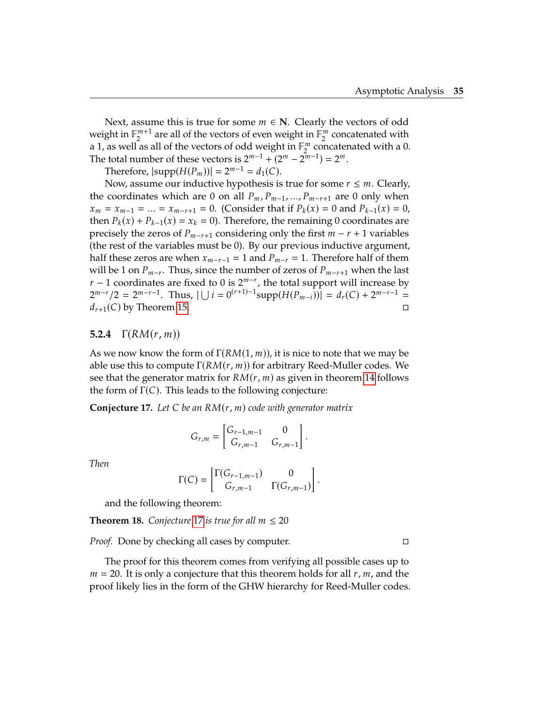Next, assume this is true for some  $m \in \mathbb{N}$ . Clearly the vectors of odd weight in  $\mathbb{F}_2^{m+1}$  are all of the vectors of even weight in  $\mathbb{F}_2^m$  concatenated with a 1, as well as all of the vectors of odd weight in  $\mathbb{F}_2^m$  concatenated with a 0. The total number of these vectors is  $2^{m-1} + (2^m - 2^{m-1}) = 2^m$ .

Therefore,  $|\text{supp}(H(P_m))| = 2^{m-1} = d_1(C)$ .<br>Now assume our inductive hypothesis is

Now, assume our inductive hypothesis is true for some  $r \leq m$ . Clearly, the coordinates which are 0 on all  $P_m$ ,  $P_{m-1}$ , ...,  $P_{m-r+1}$  are 0 only when  $x_m = x_{m-1} = ... = x_{m-r+1} = 0$ . (Consider that if  $P_k(x) = 0$  and  $P_{k-1}(x) = 0$ , then  $P_k(x) + P_{k-1}(x) = x_k = 0$ . Therefore, the remaining 0 coordinates are precisely the zeros of  $P_{m-r+1}$  considering only the first  $m-r+1$  variables (the rest of the variables must be 0). By our previous inductive argument, half these zeros are when  $x_{m-r-1} = 1$  and  $P_{m-r} = 1$ . Therefore half of them will be 1 on  $P_{m-r}$ . Thus, since the number of zeros of  $P_{m-r+1}$  when the last  $r-1$  coordinates are fixed to 0 is  $2^{m-r}$ , the total support will increase by  $r - 1$  coordinates are fixed to 0 is  $2^{m-r}$ , the total support will increase by<br> $2^{m-r}/2 - 2^{m-r-1}$  Thus  $|1 + i - 0^{(r+1)-1}$ cupp $(H(D - i))| = d$   $(C) + 2^{m-r-1}$  $2^{m-r}/2 = 2^{m-r-1}$ . Thus,  $|\bigcup i = 0^{(r+1)-1} \text{supp}(H(P_{m-i}))| = d_r(C) + 2^{m-r-1} =$  $d_{r+1}(C)$  by Theorem [15.](#page-46-0)

#### **5.2.4**  $\Gamma(RM(r, m))$

As we now know the form of  $\Gamma(RM(1,m))$ , it is nice to note that we may be able use this to compute  $\Gamma(RM(r, m))$  for arbitrary Reed-Muller codes. We see that the generator matrix for  $RM(r, m)$  as given in theorem [14](#page-27-0) follows the form of  $\Gamma(C)$ . This leads to the following conjecture:

<span id="page-47-0"></span>**Conjecture 17.** Let C be an RM(r, m) code with generator matrix

$$
G_{r,m} = \begin{bmatrix} G_{r-1,m-1} & 0 \\ G_{r,m-1} & G_{r,m-1} \end{bmatrix}.
$$

*Then*

$$
\Gamma(C) = \begin{bmatrix} \Gamma(G_{r-1,m-1}) & 0 \\ G_{r,m-1} & \Gamma(G_{r,m-1}) \end{bmatrix}.
$$

and the following theorem:

**Theorem 18.** *Conjecture* [17](#page-47-0) *is true for all*  $m \leq 20$ 

*Proof.* Done by checking all cases by computer. □

The proof for this theorem comes from verifying all possible cases up to  $m = 20$ . It is only a conjecture that this theorem holds for all  $r, m$ , and the proof likely lies in the form of the GHW hierarchy for Reed-Muller codes.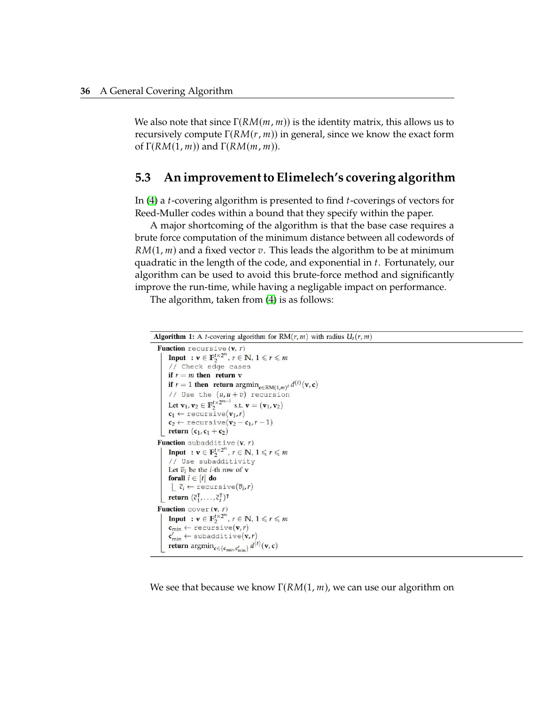We also note that since  $\Gamma(RM(m,m))$  is the identity matrix, this allows us to recursively compute  $\Gamma(RM(r, m))$  in general, since we know the exact form of Γ(RM(1, m)) and Γ(RM(m, m)).

### <span id="page-48-0"></span>**5.3 An improvement to Elimelech's covering algorithm**

In  $(4)$  a *t*-covering algorithm is presented to find *t*-coverings of vectors for Reed-Muller codes within a bound that they specify within the paper.

A major shortcoming of the algorithm is that the base case requires a brute force computation of the minimum distance between all codewords of  $RM(1, m)$  and a fixed vector  $v$ . This leads the algorithm to be at minimum quadratic in the length of the code, and exponential in  $t$ . Fortunately, our algorithm can be used to avoid this brute-force method and significantly improve the run-time, while having a negligable impact on performance.

The algorithm, taken from [\(4\)](#page-53-1) is as follows:

```
Algorithm 1: A t-covering algorithm for RM(r, m) with radius U_t(r, m)Function recursive (v, r)Input : \mathbf{v} \in \mathbb{F}_2^{t \times 2^m}, r \in \mathbb{N}, 1 \le r \le m// Check edge cases
if r = m then return v
if r = 1 then return argmin<sub>c\in \text{RM}(1,m)^t</sub> d^{(t)}(\mathbf{v}, \mathbf{c})// Use the (u, u + v) recursion
Let \mathbf{v}_1, \mathbf{v}_2 \in \mathbb{F}_2^{t \times 2^{m-1}} s.t. \mathbf{v} = (\mathbf{v}_1, \mathbf{v}_2)c_1 \leftarrow recursive(v_1, r)c_2 \leftarrow recursive(v_2 - c_1, r - 1)return (c_1, c_1 + c_2)Function subadditive (\mathbf{v}, r)Input : \mathbf{v} \in \mathbb{F}_2^{t \times 2^m}, r \in \mathbb{N}, 1 \leq r \leq m// Use subadditivity
 Let \overline{v}_i be the i-th row of v
 forall i \in [t] do
  \vert \overline{c_i} \leftarrow \text{recursive}(\overline{v_i}, r)return (\overline{c}_1^T, \ldots, \overline{c}_t^T)^TFunction cover (v, r)Input : \mathbf{v} \in \mathbb{F}_2^{t \times 2^m}, r \in \mathbb{N}, 1 \leq r \leq mc_{min} \leftarrow \text{recursive}(v, r)\mathbf{c}'_{\min} \leftarrow \texttt{subadditive}(\mathbf{v}, r)return \operatorname{argmin}_{c \in \{c_{\min}, c'_{\min}\}} d^{(t)}(\mathbf{v}, c)
```
We see that because we know  $\Gamma(RM(1,m))$ , we can use our algorithm on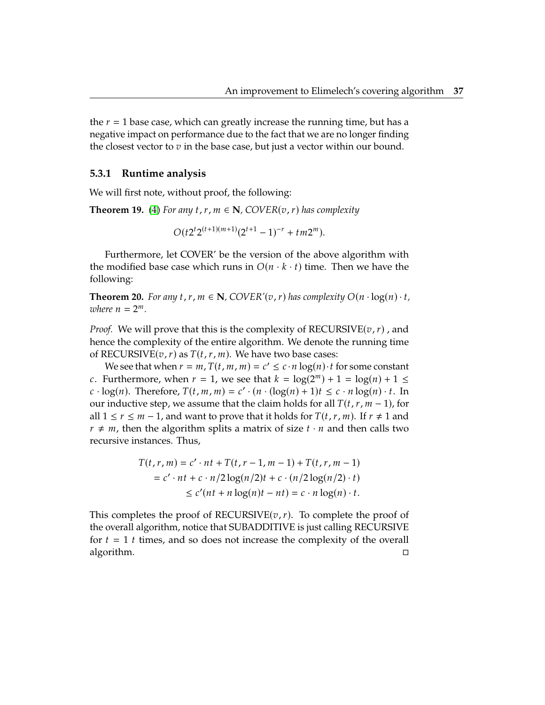the  $r = 1$  base case, which can greatly increase the running time, but has a negative impact on performance due to the fact that we are no longer finding the closest vector to  $v$  in the base case, but just a vector within our bound.

#### **5.3.1 Runtime analysis**

We will first note, without proof, the following:

**Theorem 19.** [\(4\)](#page-53-1) *For any*  $t, r, m \in \mathbb{N}$ , *COVER*( $v, r$ ) *has complexity* 

 $O(t2^t2^{(t+1)(m+1)}(2^{t+1}-1)^{-r} + tm2^m).$ 

Furthermore, let COVER' be the version of the above algorithm with the modified base case which runs in  $O(n \cdot k \cdot t)$  time. Then we have the following:

**Theorem 20.** For any  $t, r, m \in \mathbb{N}$ , COVER' $(v, r)$  has complexity  $O(n \cdot \log(n) \cdot t,$ where  $n = 2^m$ .

*Proof.* We will prove that this is the complexity of RECURSIVE $(v, r)$ , and hence the complexity of the entire algorithm. We denote the running time of RECURSIVE $(v, r)$  as  $T(t, r, m)$ . We have two base cases:

We see that when  $r = m$ ,  $T(t, m, m) = c' \le c \cdot n \log(n) \cdot t$  for some constant c. Furthermore, when  $r = 1$ , we see that  $k = log(2^m) + 1 = log(n) + 1 \le$  $c \cdot \log(n)$ . Therefore,  $T(t, m, m) = c' \cdot (n \cdot (\log(n) + 1)t \leq c \cdot n \log(n) \cdot t$ . In our inductive step, we assume that the claim holds for all  $T(t, r, m - 1)$ , for all  $1 \le r \le m - 1$ , and want to prove that it holds for  $T(t, r, m)$ . If  $r ≠ 1$  and  $r \neq m$ , then the algorithm splits a matrix of size  $t \cdot n$  and then calls two recursive instances. Thus,

$$
T(t, r, m) = c' \cdot nt + T(t, r - 1, m - 1) + T(t, r, m - 1)
$$
  
= c' \cdot nt + c \cdot n/2 log(n/2)t + c \cdot (n/2 log(n/2) \cdot t)  

$$
\le c' (nt + n log(n)t - nt) = c \cdot n log(n) \cdot t.
$$

This completes the proof of RECURSIVE( $v, r$ ). To complete the proof of the overall algorithm, notice that SUBADDITIVE is just calling RECURSIVE for  $t = 1$  *t* times, and so does not increase the complexity of the overall algorithm. algorithm.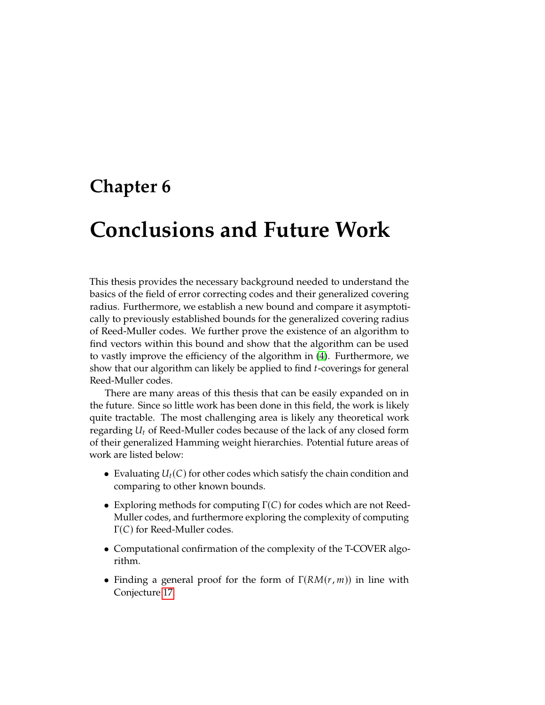## <span id="page-51-0"></span>**Chapter 6**

# **Conclusions and Future Work**

This thesis provides the necessary background needed to understand the basics of the field of error correcting codes and their generalized covering radius. Furthermore, we establish a new bound and compare it asymptotically to previously established bounds for the generalized covering radius of Reed-Muller codes. We further prove the existence of an algorithm to find vectors within this bound and show that the algorithm can be used to vastly improve the efficiency of the algorithm in [\(4\)](#page-53-1). Furthermore, we show that our algorithm can likely be applied to find  $t$ -coverings for general Reed-Muller codes.

There are many areas of this thesis that can be easily expanded on in the future. Since so little work has been done in this field, the work is likely quite tractable. The most challenging area is likely any theoretical work regarding  $U_t$  of Reed-Muller codes because of the lack of any closed form of their generalized Hamming weight hierarchies. Potential future areas of work are listed below:

- Evaluating  $U_t(C)$  for other codes which satisfy the chain condition and comparing to other known bounds.
- Exploring methods for computing  $\Gamma(C)$  for codes which are not Reed-Muller codes, and furthermore exploring the complexity of computing Γ(C) for Reed-Muller codes.
- Computational confirmation of the complexity of the T-COVER algorithm.
- Finding a general proof for the form of  $\Gamma(RM(r,m))$  in line with Conjecture [17.](#page-47-0)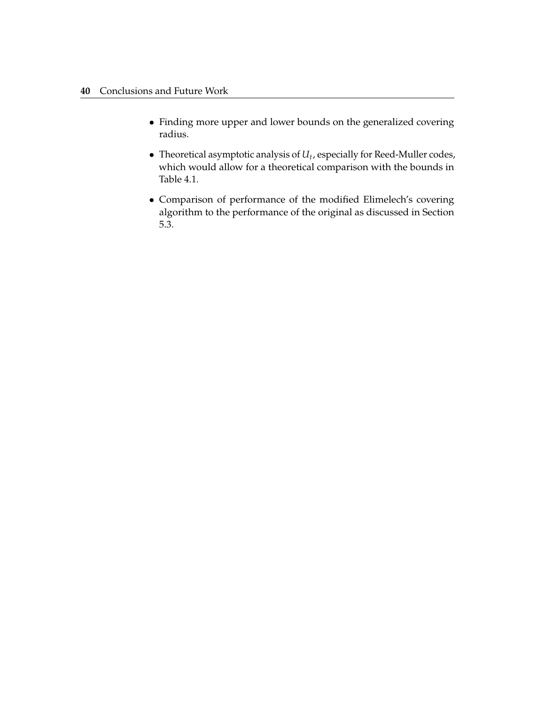- Finding more upper and lower bounds on the generalized covering radius.
- Theoretical asymptotic analysis of  $U_t$ , especially for Reed-Muller codes,<br>which would allow for a theoretical comparison with the bounds in which would allow for a theoretical comparison with the bounds in Table 4.1.
- Comparison of performance of the modified Elimelech's covering algorithm to the performance of the original as discussed in Section 5.3.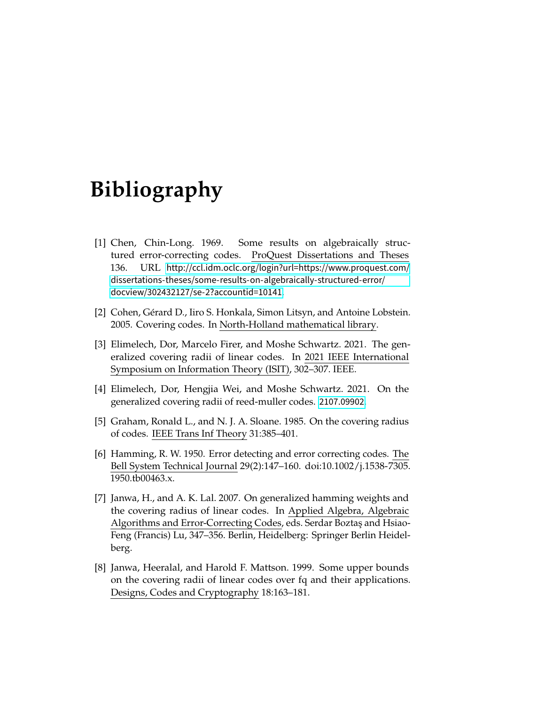# <span id="page-53-2"></span>**Bibliography**

- <span id="page-53-8"></span>[1] Chen, Chin-Long. 1969. Some results on algebraically structured error-correcting codes. ProQuest Dissertations and Theses 136. URL [http://ccl.idm.oclc.org/login?url=https://www.proquest.com/](http://ccl.idm.oclc.org/login?url=https://www.proquest.com/dissertations-theses/some-results-on-algebraically-structured-error/docview/302432127/se-2?accountid=10141) [dissertations-theses/some-results-on-algebraically-structured-error/](http://ccl.idm.oclc.org/login?url=https://www.proquest.com/dissertations-theses/some-results-on-algebraically-structured-error/docview/302432127/se-2?accountid=10141) [docview/302432127/se-2?accountid=10141](http://ccl.idm.oclc.org/login?url=https://www.proquest.com/dissertations-theses/some-results-on-algebraically-structured-error/docview/302432127/se-2?accountid=10141).
- <span id="page-53-3"></span>[2] Cohen, Gérard D., Iiro S. Honkala, Simon Litsyn, and Antoine Lobstein. 2005. Covering codes. In North-Holland mathematical library.
- <span id="page-53-0"></span>[3] Elimelech, Dor, Marcelo Firer, and Moshe Schwartz. 2021. The generalized covering radii of linear codes. In 2021 IEEE International Symposium on Information Theory (ISIT), 302–307. IEEE.
- <span id="page-53-1"></span>[4] Elimelech, Dor, Hengjia Wei, and Moshe Schwartz. 2021. On the generalized covering radii of reed-muller codes. <2107.09902>.
- <span id="page-53-4"></span>[5] Graham, Ronald L., and N. J. A. Sloane. 1985. On the covering radius of codes. IEEE Trans Inf Theory 31:385–401.
- <span id="page-53-7"></span>[6] Hamming, R. W. 1950. Error detecting and error correcting codes. The Bell System Technical Journal 29(2):147–160. doi:10.1002/j.1538-7305. 1950.tb00463.x.
- <span id="page-53-5"></span>[7] Janwa, H., and A. K. Lal. 2007. On generalized hamming weights and the covering radius of linear codes. In Applied Algebra, Algebraic Algorithms and Error-Correcting Codes, eds. Serdar Boztaş and Hsiao-Feng (Francis) Lu, 347–356. Berlin, Heidelberg: Springer Berlin Heidelberg.
- <span id="page-53-6"></span>[8] Janwa, Heeralal, and Harold F. Mattson. 1999. Some upper bounds on the covering radii of linear codes over fq and their applications. Designs, Codes and Cryptography 18:163–181.